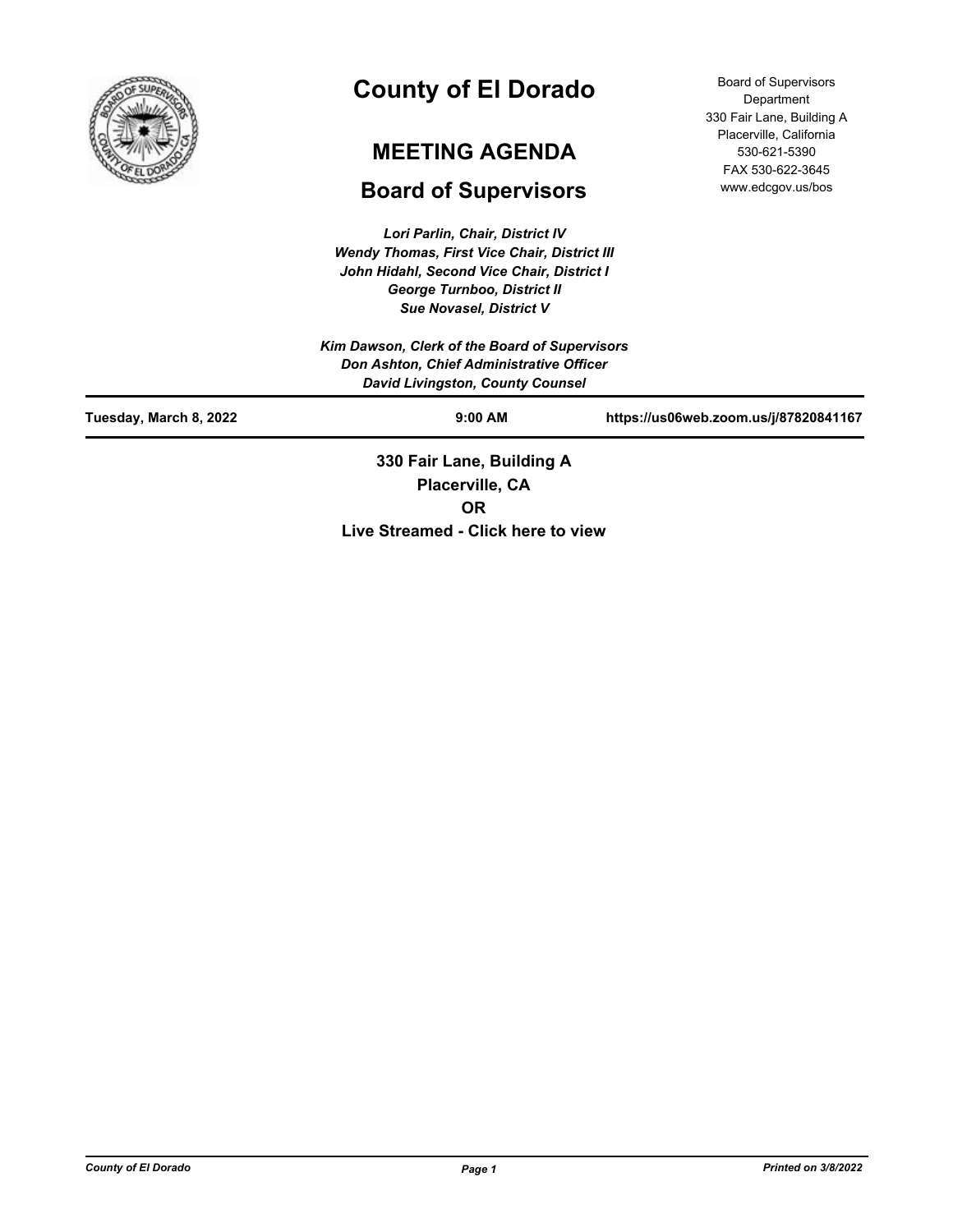

# **County of El Dorado**

# **MEETING AGENDA**

# **Board of Supervisors**

*Lori Parlin, Chair, District IV Wendy Thomas, First Vice Chair, District III John Hidahl, Second Vice Chair, District I George Turnboo, District II Sue Novasel, District V*

Board of Supervisors Department 330 Fair Lane, Building A Placerville, California 530-621-5390 FAX 530-622-3645 www.edcgov.us/bos

| Kim Dawson, Clerk of the Board of Supervisors<br>Don Ashton, Chief Administrative Officer<br><b>David Livingston, County Counsel</b> |                           |                                       |  |  |
|--------------------------------------------------------------------------------------------------------------------------------------|---------------------------|---------------------------------------|--|--|
| Tuesday, March 8, 2022                                                                                                               | $9:00$ AM                 | https://us06web.zoom.us/j/87820841167 |  |  |
|                                                                                                                                      | 330 Fair Lane, Building A |                                       |  |  |

**Placerville, CA OR Live Streamed - Click here to view**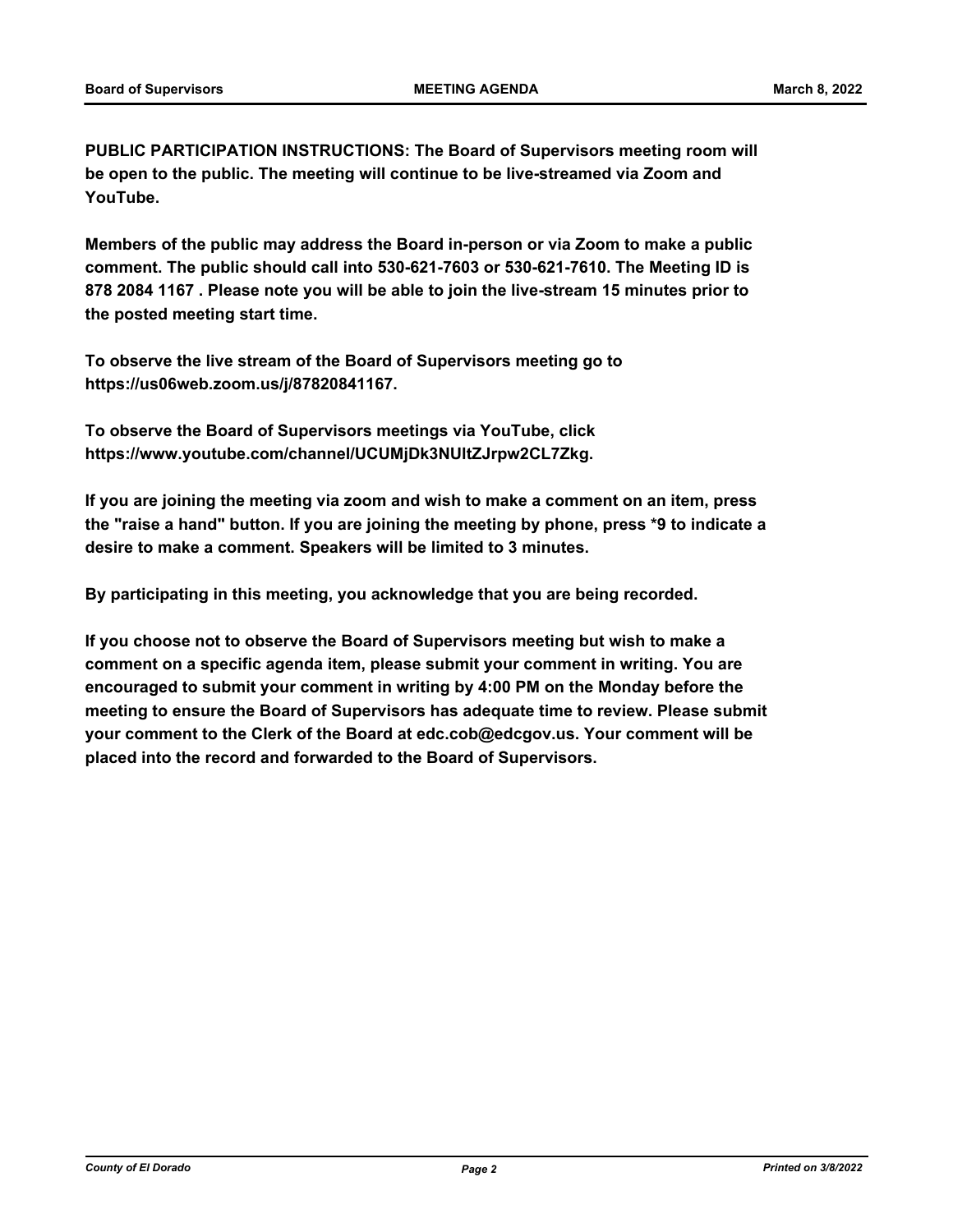**PUBLIC PARTICIPATION INSTRUCTIONS: The Board of Supervisors meeting room will be open to the public. The meeting will continue to be live-streamed via Zoom and YouTube.**

**Members of the public may address the Board in-person or via Zoom to make a public comment. The public should call into 530-621-7603 or 530-621-7610. The Meeting ID is 878 2084 1167 . Please note you will be able to join the live-stream 15 minutes prior to the posted meeting start time.**

**To observe the live stream of the Board of Supervisors meeting go to https://us06web.zoom.us/j/87820841167.**

**To observe the Board of Supervisors meetings via YouTube, click https://www.youtube.com/channel/UCUMjDk3NUltZJrpw2CL7Zkg.**

**If you are joining the meeting via zoom and wish to make a comment on an item, press the "raise a hand" button. If you are joining the meeting by phone, press \*9 to indicate a desire to make a comment. Speakers will be limited to 3 minutes.**

**By participating in this meeting, you acknowledge that you are being recorded.**

**If you choose not to observe the Board of Supervisors meeting but wish to make a comment on a specific agenda item, please submit your comment in writing. You are encouraged to submit your comment in writing by 4:00 PM on the Monday before the meeting to ensure the Board of Supervisors has adequate time to review. Please submit your comment to the Clerk of the Board at edc.cob@edcgov.us. Your comment will be placed into the record and forwarded to the Board of Supervisors.**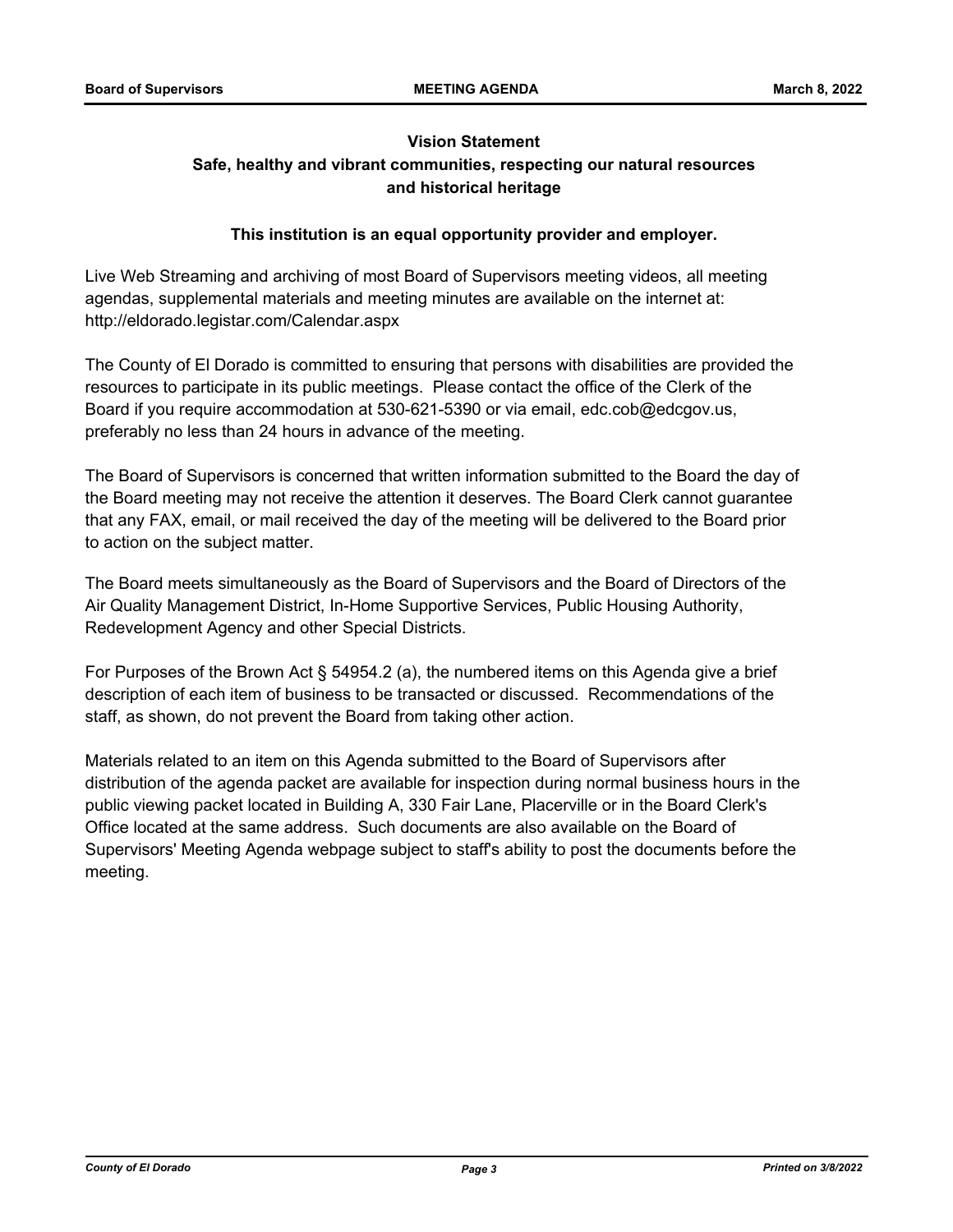## **Vision Statement Safe, healthy and vibrant communities, respecting our natural resources and historical heritage**

## **This institution is an equal opportunity provider and employer.**

Live Web Streaming and archiving of most Board of Supervisors meeting videos, all meeting agendas, supplemental materials and meeting minutes are available on the internet at: http://eldorado.legistar.com/Calendar.aspx

The County of El Dorado is committed to ensuring that persons with disabilities are provided the resources to participate in its public meetings. Please contact the office of the Clerk of the Board if you require accommodation at 530-621-5390 or via email, edc.cob@edcgov.us, preferably no less than 24 hours in advance of the meeting.

The Board of Supervisors is concerned that written information submitted to the Board the day of the Board meeting may not receive the attention it deserves. The Board Clerk cannot guarantee that any FAX, email, or mail received the day of the meeting will be delivered to the Board prior to action on the subject matter.

The Board meets simultaneously as the Board of Supervisors and the Board of Directors of the Air Quality Management District, In-Home Supportive Services, Public Housing Authority, Redevelopment Agency and other Special Districts.

For Purposes of the Brown Act § 54954.2 (a), the numbered items on this Agenda give a brief description of each item of business to be transacted or discussed. Recommendations of the staff, as shown, do not prevent the Board from taking other action.

Materials related to an item on this Agenda submitted to the Board of Supervisors after distribution of the agenda packet are available for inspection during normal business hours in the public viewing packet located in Building A, 330 Fair Lane, Placerville or in the Board Clerk's Office located at the same address. Such documents are also available on the Board of Supervisors' Meeting Agenda webpage subject to staff's ability to post the documents before the meeting.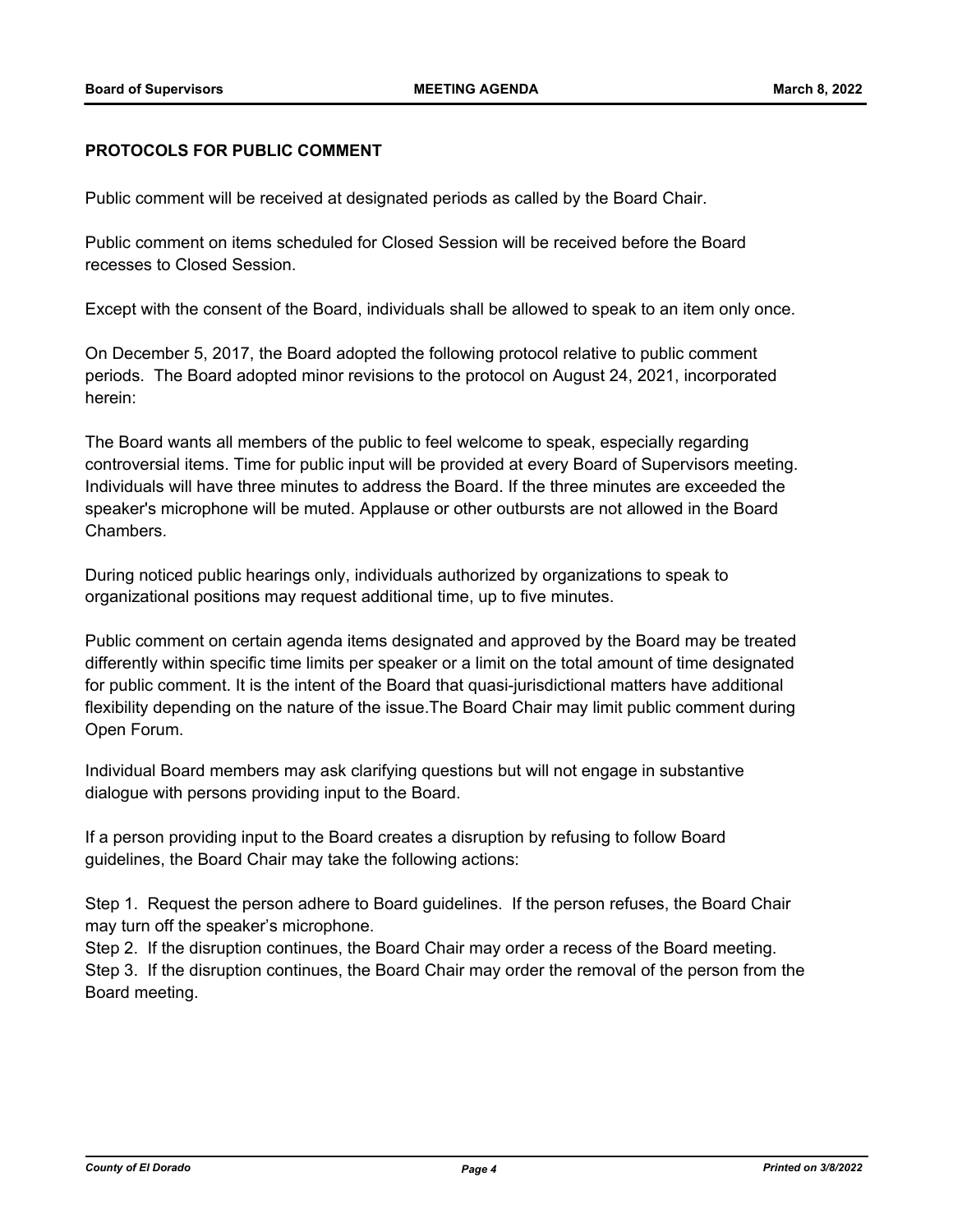## **PROTOCOLS FOR PUBLIC COMMENT**

Public comment will be received at designated periods as called by the Board Chair.

Public comment on items scheduled for Closed Session will be received before the Board recesses to Closed Session.

Except with the consent of the Board, individuals shall be allowed to speak to an item only once.

On December 5, 2017, the Board adopted the following protocol relative to public comment periods. The Board adopted minor revisions to the protocol on August 24, 2021, incorporated herein:

The Board wants all members of the public to feel welcome to speak, especially regarding controversial items. Time for public input will be provided at every Board of Supervisors meeting. Individuals will have three minutes to address the Board. If the three minutes are exceeded the speaker's microphone will be muted. Applause or other outbursts are not allowed in the Board Chambers.

During noticed public hearings only, individuals authorized by organizations to speak to organizational positions may request additional time, up to five minutes.

Public comment on certain agenda items designated and approved by the Board may be treated differently within specific time limits per speaker or a limit on the total amount of time designated for public comment. It is the intent of the Board that quasi-jurisdictional matters have additional flexibility depending on the nature of the issue.The Board Chair may limit public comment during Open Forum.

Individual Board members may ask clarifying questions but will not engage in substantive dialogue with persons providing input to the Board.

If a person providing input to the Board creates a disruption by refusing to follow Board guidelines, the Board Chair may take the following actions:

Step 1. Request the person adhere to Board guidelines. If the person refuses, the Board Chair may turn off the speaker's microphone.

Step 2. If the disruption continues, the Board Chair may order a recess of the Board meeting. Step 3. If the disruption continues, the Board Chair may order the removal of the person from the Board meeting.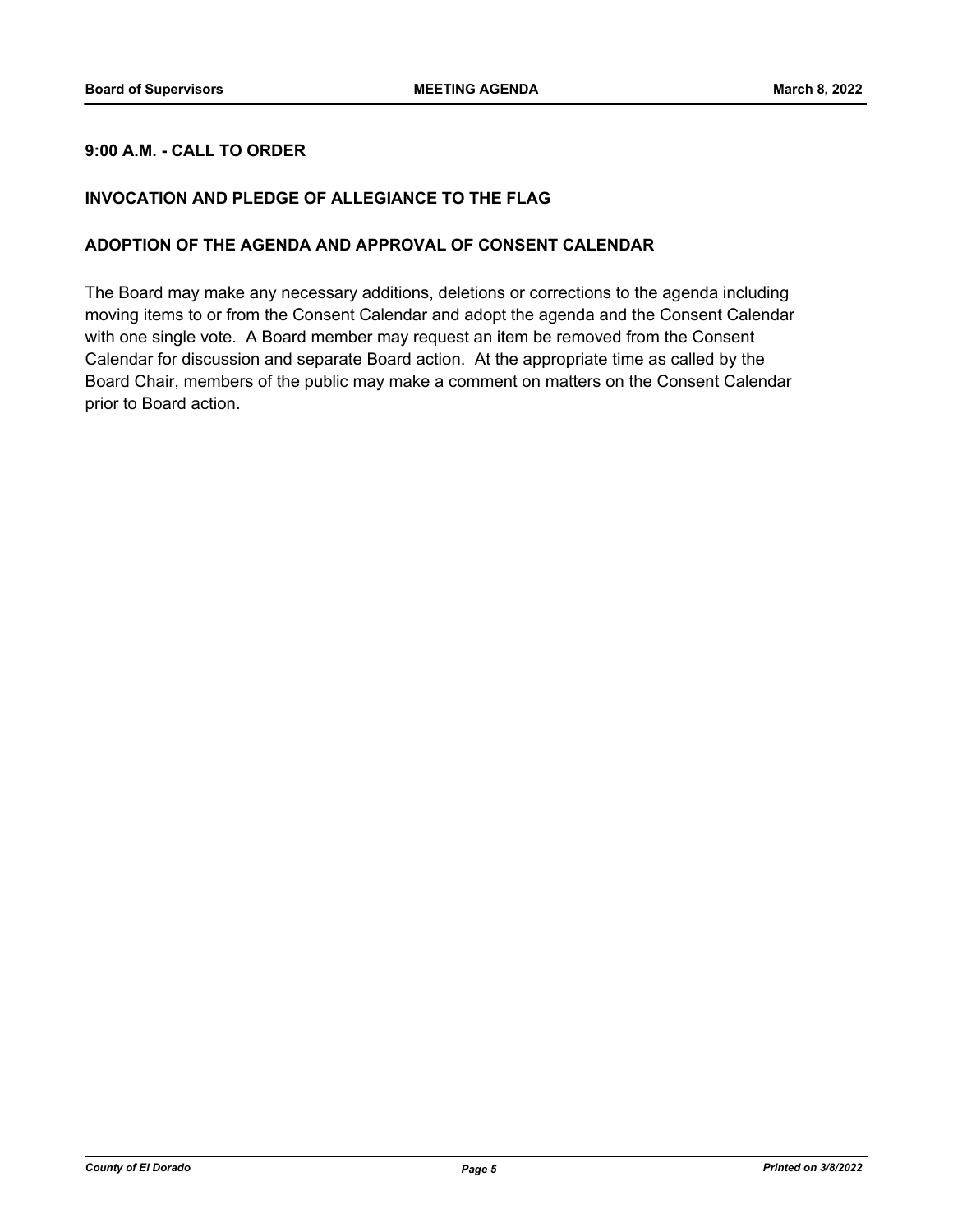## **9:00 A.M. - CALL TO ORDER**

## **INVOCATION AND PLEDGE OF ALLEGIANCE TO THE FLAG**

## **ADOPTION OF THE AGENDA AND APPROVAL OF CONSENT CALENDAR**

The Board may make any necessary additions, deletions or corrections to the agenda including moving items to or from the Consent Calendar and adopt the agenda and the Consent Calendar with one single vote. A Board member may request an item be removed from the Consent Calendar for discussion and separate Board action. At the appropriate time as called by the Board Chair, members of the public may make a comment on matters on the Consent Calendar prior to Board action.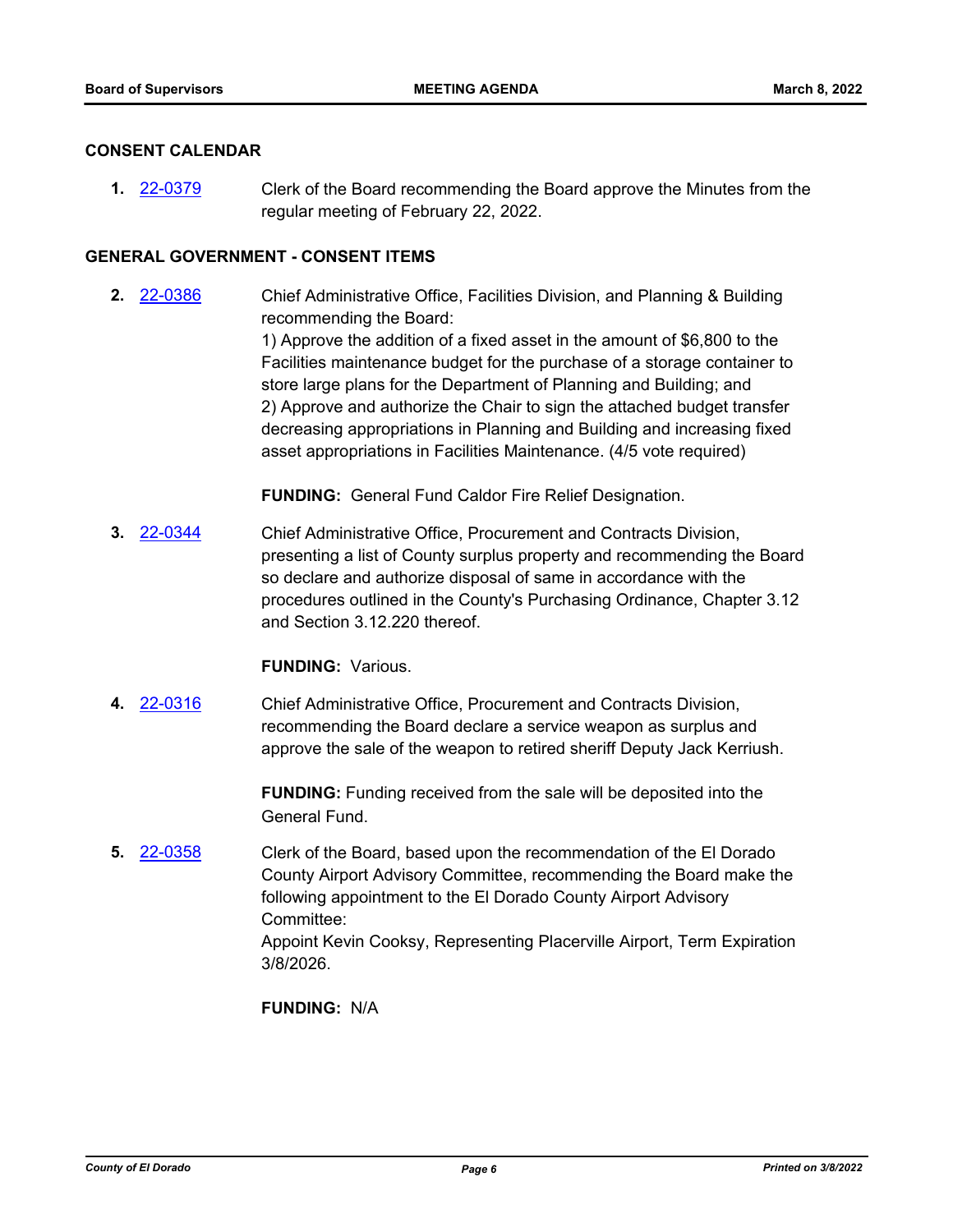## **CONSENT CALENDAR**

**1.** [22-0379](http://eldorado.legistar.com/gateway.aspx?m=l&id=/matter.aspx?key=31280) Clerk of the Board recommending the Board approve the Minutes from the regular meeting of February 22, 2022.

## **GENERAL GOVERNMENT - CONSENT ITEMS**

**2.** [22-0386](http://eldorado.legistar.com/gateway.aspx?m=l&id=/matter.aspx?key=31287) Chief Administrative Office, Facilities Division, and Planning & Building recommending the Board: 1) Approve the addition of a fixed asset in the amount of \$6,800 to the Facilities maintenance budget for the purchase of a storage container to store large plans for the Department of Planning and Building; and 2) Approve and authorize the Chair to sign the attached budget transfer decreasing appropriations in Planning and Building and increasing fixed asset appropriations in Facilities Maintenance. (4/5 vote required)

**FUNDING:** General Fund Caldor Fire Relief Designation.

**3.** [22-0344](http://eldorado.legistar.com/gateway.aspx?m=l&id=/matter.aspx?key=31245) Chief Administrative Office, Procurement and Contracts Division, presenting a list of County surplus property and recommending the Board so declare and authorize disposal of same in accordance with the procedures outlined in the County's Purchasing Ordinance, Chapter 3.12 and Section 3.12.220 thereof.

## **FUNDING:** Various.

**4.** [22-0316](http://eldorado.legistar.com/gateway.aspx?m=l&id=/matter.aspx?key=31217) Chief Administrative Office, Procurement and Contracts Division, recommending the Board declare a service weapon as surplus and approve the sale of the weapon to retired sheriff Deputy Jack Kerriush.

> **FUNDING:** Funding received from the sale will be deposited into the General Fund.

**5.** [22-0358](http://eldorado.legistar.com/gateway.aspx?m=l&id=/matter.aspx?key=31259) Clerk of the Board, based upon the recommendation of the El Dorado County Airport Advisory Committee, recommending the Board make the following appointment to the El Dorado County Airport Advisory Committee: Appoint Kevin Cooksy, Representing Placerville Airport, Term Expiration 3/8/2026.

**FUNDING:** N/A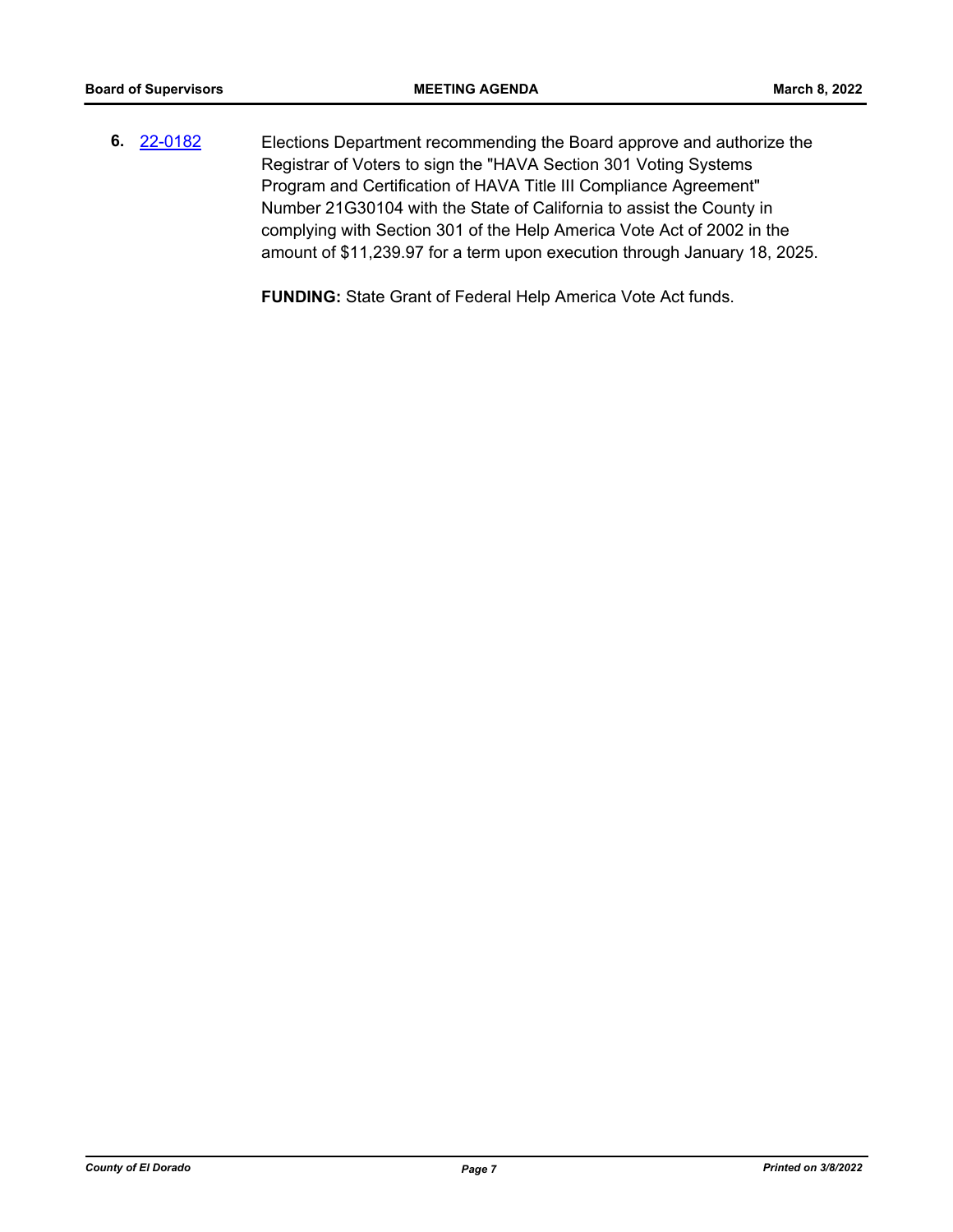**6.** [22-0182](http://eldorado.legistar.com/gateway.aspx?m=l&id=/matter.aspx?key=31083) Elections Department recommending the Board approve and authorize the Registrar of Voters to sign the "HAVA Section 301 Voting Systems Program and Certification of HAVA Title III Compliance Agreement" Number 21G30104 with the State of California to assist the County in complying with Section 301 of the Help America Vote Act of 2002 in the amount of \$11,239.97 for a term upon execution through January 18, 2025.

**FUNDING:** State Grant of Federal Help America Vote Act funds.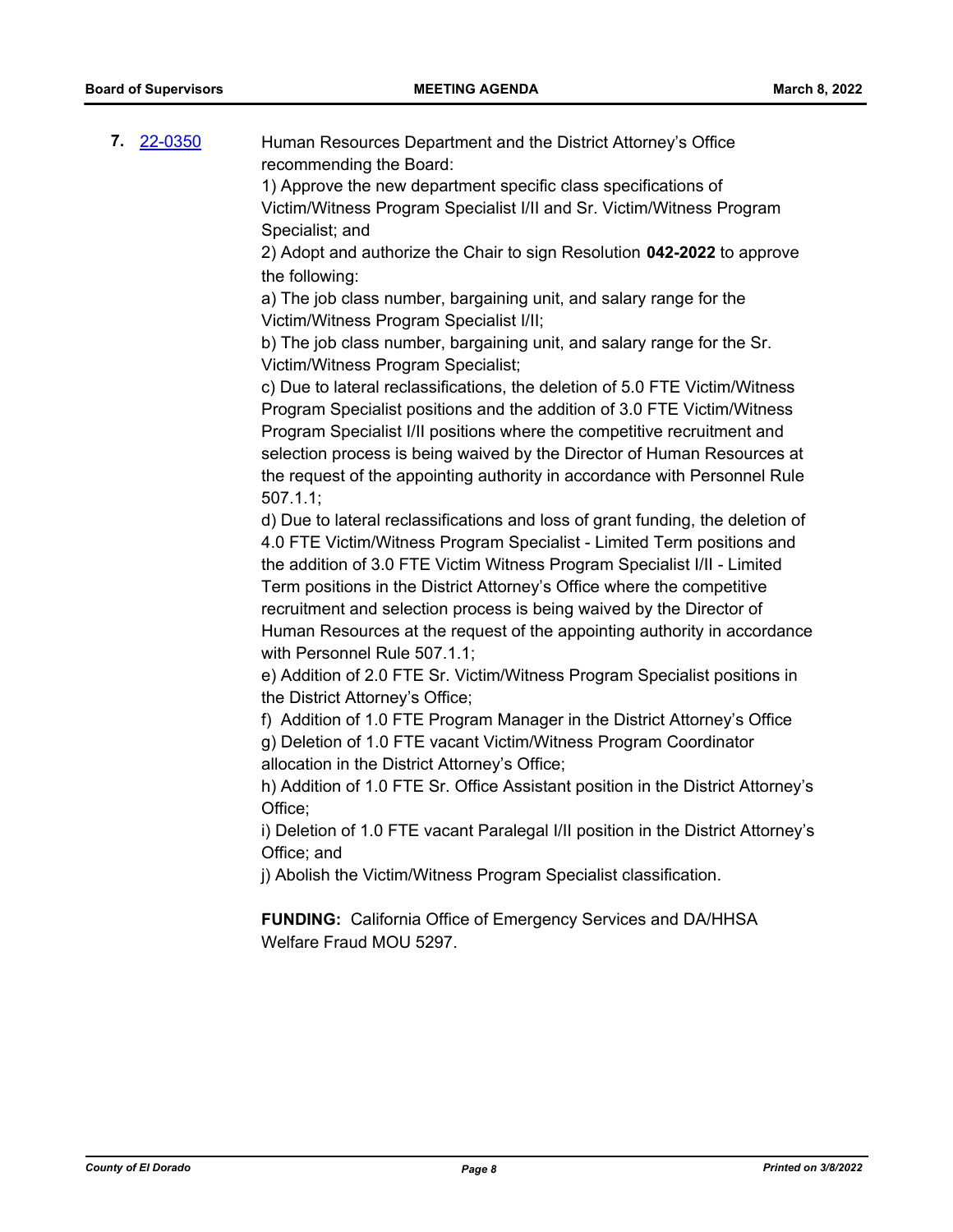**7.** [22-0350](http://eldorado.legistar.com/gateway.aspx?m=l&id=/matter.aspx?key=31251) Human Resources Department and the District Attorney's Office recommending the Board:

> 1) Approve the new department specific class specifications of Victim/Witness Program Specialist I/II and Sr. Victim/Witness Program Specialist; and

2) Adopt and authorize the Chair to sign Resolution **042-2022** to approve the following:

a) The job class number, bargaining unit, and salary range for the Victim/Witness Program Specialist I/II;

b) The job class number, bargaining unit, and salary range for the Sr. Victim/Witness Program Specialist;

c) Due to lateral reclassifications, the deletion of 5.0 FTE Victim/Witness Program Specialist positions and the addition of 3.0 FTE Victim/Witness Program Specialist I/II positions where the competitive recruitment and selection process is being waived by the Director of Human Resources at the request of the appointing authority in accordance with Personnel Rule 507.1.1;

d) Due to lateral reclassifications and loss of grant funding, the deletion of 4.0 FTE Victim/Witness Program Specialist - Limited Term positions and the addition of 3.0 FTE Victim Witness Program Specialist I/II - Limited Term positions in the District Attorney's Office where the competitive recruitment and selection process is being waived by the Director of Human Resources at the request of the appointing authority in accordance with Personnel Rule 507.1.1;

e) Addition of 2.0 FTE Sr. Victim/Witness Program Specialist positions in the District Attorney's Office;

f) Addition of 1.0 FTE Program Manager in the District Attorney's Office g) Deletion of 1.0 FTE vacant Victim/Witness Program Coordinator

allocation in the District Attorney's Office;

h) Addition of 1.0 FTE Sr. Office Assistant position in the District Attorney's Office;

i) Deletion of 1.0 FTE vacant Paralegal I/II position in the District Attorney's Office; and

j) Abolish the Victim/Witness Program Specialist classification.

**FUNDING:** California Office of Emergency Services and DA/HHSA Welfare Fraud MOU 5297.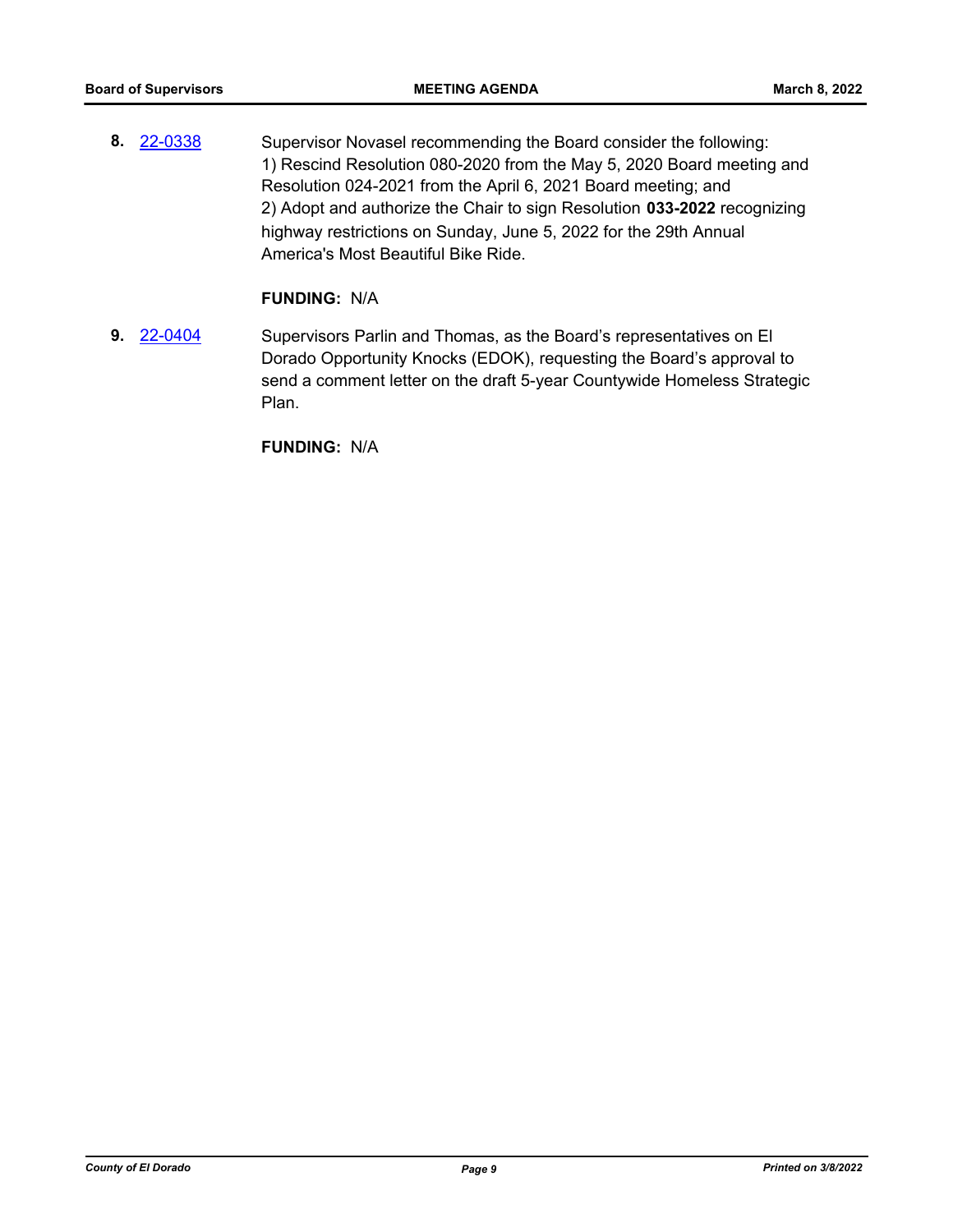**8.** [22-0338](http://eldorado.legistar.com/gateway.aspx?m=l&id=/matter.aspx?key=31239) Supervisor Novasel recommending the Board consider the following: 1) Rescind Resolution 080-2020 from the May 5, 2020 Board meeting and Resolution 024-2021 from the April 6, 2021 Board meeting; and 2) Adopt and authorize the Chair to sign Resolution **033-2022** recognizing highway restrictions on Sunday, June 5, 2022 for the 29th Annual America's Most Beautiful Bike Ride.

## **FUNDING:** N/A

**9.** [22-0404](http://eldorado.legistar.com/gateway.aspx?m=l&id=/matter.aspx?key=31305) Supervisors Parlin and Thomas, as the Board's representatives on El Dorado Opportunity Knocks (EDOK), requesting the Board's approval to send a comment letter on the draft 5-year Countywide Homeless Strategic Plan.

**FUNDING:** N/A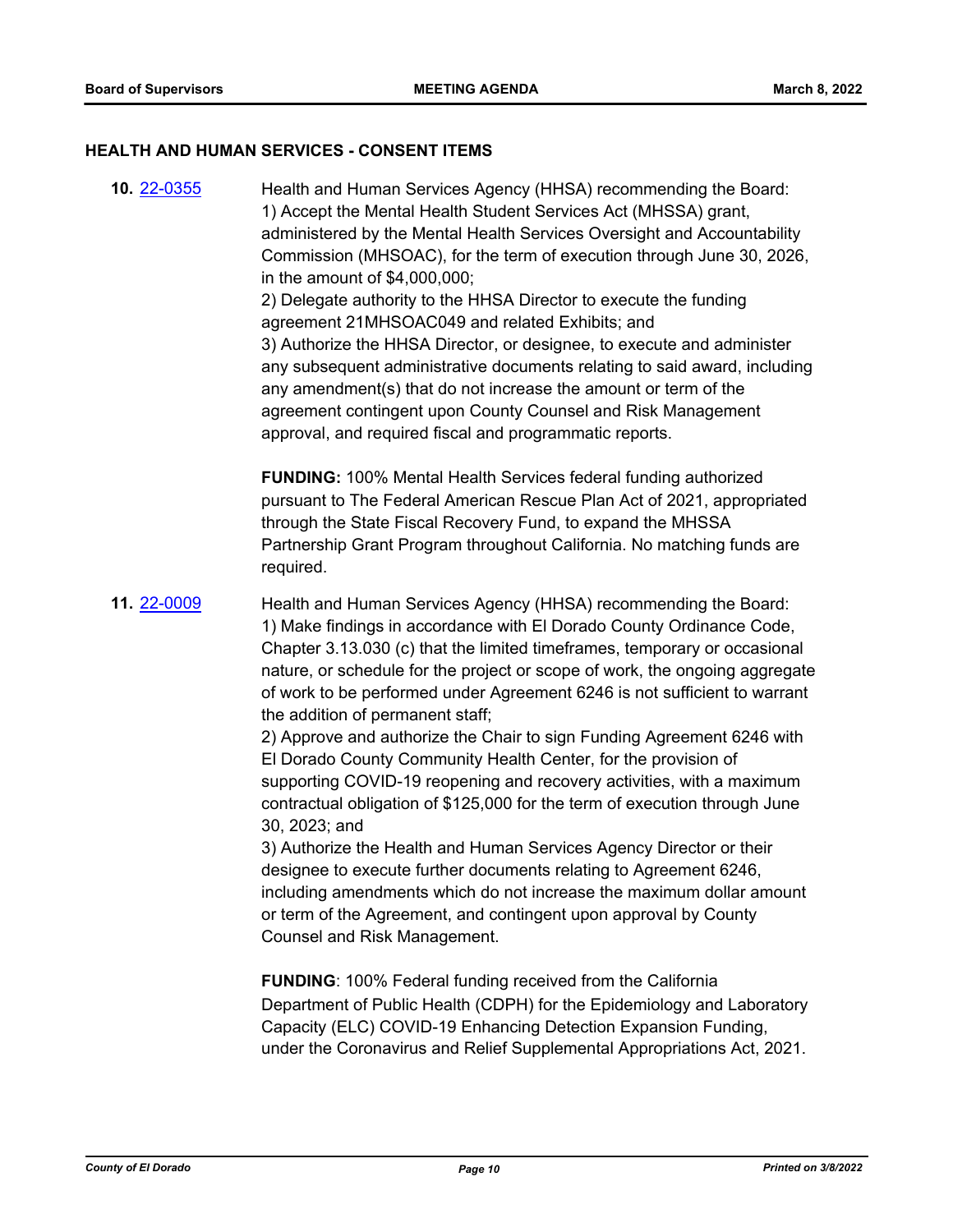## **HEALTH AND HUMAN SERVICES - CONSENT ITEMS**

**10.** [22-0355](http://eldorado.legistar.com/gateway.aspx?m=l&id=/matter.aspx?key=31256) Health and Human Services Agency (HHSA) recommending the Board: 1) Accept the Mental Health Student Services Act (MHSSA) grant, administered by the Mental Health Services Oversight and Accountability Commission (MHSOAC), for the term of execution through June 30, 2026, in the amount of \$4,000,000; 2) Delegate authority to the HHSA Director to execute the funding agreement 21MHSOAC049 and related Exhibits; and 3) Authorize the HHSA Director, or designee, to execute and administer any subsequent administrative documents relating to said award, including any amendment(s) that do not increase the amount or term of the agreement contingent upon County Counsel and Risk Management approval, and required fiscal and programmatic reports.

**FUNDING:** 100% Mental Health Services federal funding authorized pursuant to The Federal American Rescue Plan Act of 2021, appropriated through the State Fiscal Recovery Fund, to expand the MHSSA Partnership Grant Program throughout California. No matching funds are required.

**11.** [22-0009](http://eldorado.legistar.com/gateway.aspx?m=l&id=/matter.aspx?key=30909) Health and Human Services Agency (HHSA) recommending the Board: 1) Make findings in accordance with El Dorado County Ordinance Code, Chapter 3.13.030 (c) that the limited timeframes, temporary or occasional nature, or schedule for the project or scope of work, the ongoing aggregate of work to be performed under Agreement 6246 is not sufficient to warrant the addition of permanent staff;

> 2) Approve and authorize the Chair to sign Funding Agreement 6246 with El Dorado County Community Health Center, for the provision of supporting COVID-19 reopening and recovery activities, with a maximum contractual obligation of \$125,000 for the term of execution through June 30, 2023; and

> 3) Authorize the Health and Human Services Agency Director or their designee to execute further documents relating to Agreement 6246, including amendments which do not increase the maximum dollar amount or term of the Agreement, and contingent upon approval by County Counsel and Risk Management.

> **FUNDING**: 100% Federal funding received from the California Department of Public Health (CDPH) for the Epidemiology and Laboratory Capacity (ELC) COVID-19 Enhancing Detection Expansion Funding, under the Coronavirus and Relief Supplemental Appropriations Act, 2021.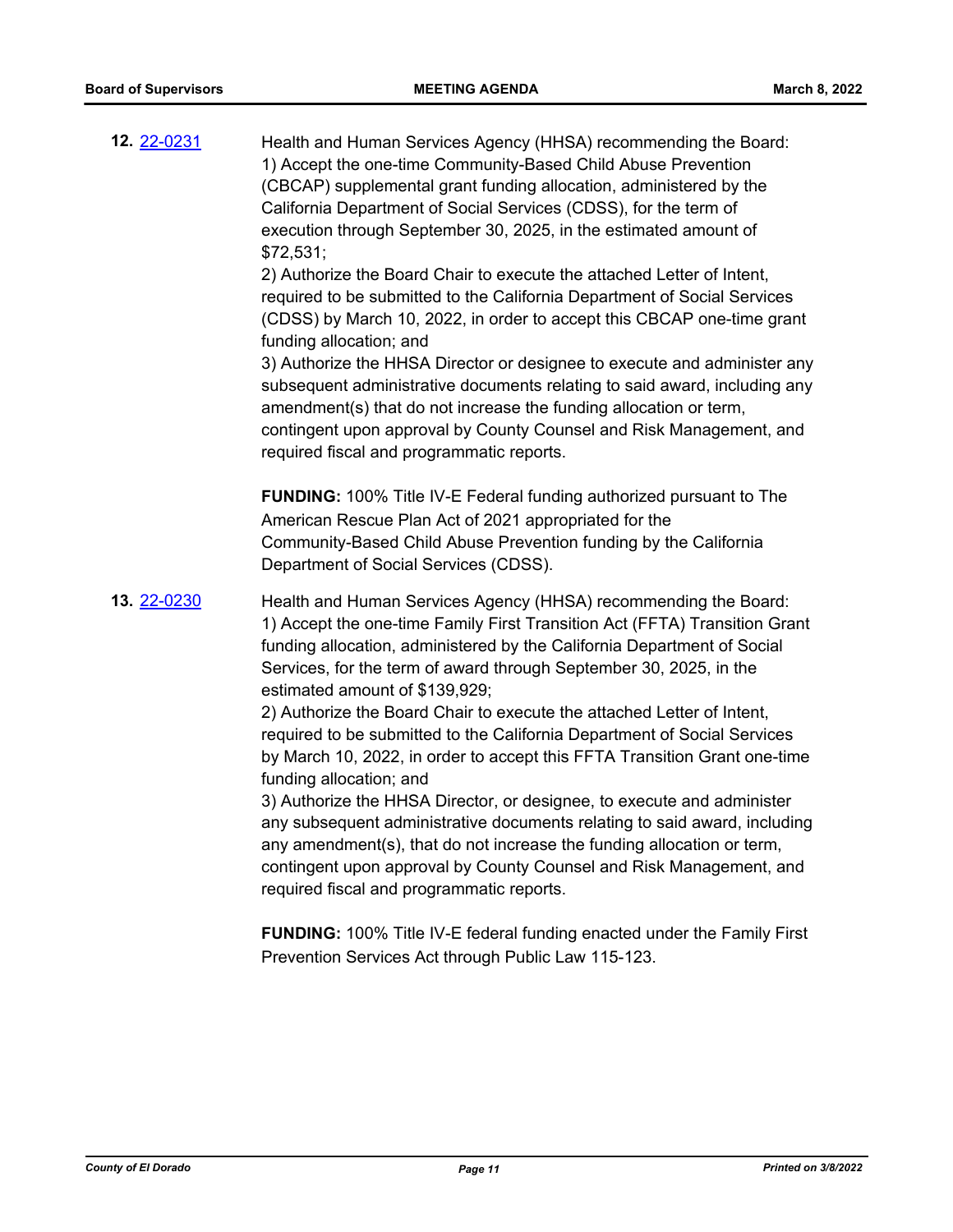| 12. 22-0231 | Health and Human Services Agency (HHSA) recommending the Board:<br>1) Accept the one-time Community-Based Child Abuse Prevention<br>(CBCAP) supplemental grant funding allocation, administered by the<br>California Department of Social Services (CDSS), for the term of<br>execution through September 30, 2025, in the estimated amount of<br>\$72,531;<br>2) Authorize the Board Chair to execute the attached Letter of Intent,<br>required to be submitted to the California Department of Social Services<br>(CDSS) by March 10, 2022, in order to accept this CBCAP one-time grant<br>funding allocation; and<br>3) Authorize the HHSA Director or designee to execute and administer any<br>subsequent administrative documents relating to said award, including any<br>amendment(s) that do not increase the funding allocation or term,<br>contingent upon approval by County Counsel and Risk Management, and<br>required fiscal and programmatic reports.                                                              |
|-------------|---------------------------------------------------------------------------------------------------------------------------------------------------------------------------------------------------------------------------------------------------------------------------------------------------------------------------------------------------------------------------------------------------------------------------------------------------------------------------------------------------------------------------------------------------------------------------------------------------------------------------------------------------------------------------------------------------------------------------------------------------------------------------------------------------------------------------------------------------------------------------------------------------------------------------------------------------------------------------------------------------------------------------------------|
|             | <b>FUNDING:</b> 100% Title IV-E Federal funding authorized pursuant to The<br>American Rescue Plan Act of 2021 appropriated for the<br>Community-Based Child Abuse Prevention funding by the California<br>Department of Social Services (CDSS).                                                                                                                                                                                                                                                                                                                                                                                                                                                                                                                                                                                                                                                                                                                                                                                      |
| 13. 22-0230 | Health and Human Services Agency (HHSA) recommending the Board:<br>1) Accept the one-time Family First Transition Act (FFTA) Transition Grant<br>funding allocation, administered by the California Department of Social<br>Services, for the term of award through September 30, 2025, in the<br>estimated amount of \$139,929;<br>2) Authorize the Board Chair to execute the attached Letter of Intent,<br>required to be submitted to the California Department of Social Services<br>by March 10, 2022, in order to accept this FFTA Transition Grant one-time<br>funding allocation; and<br>3) Authorize the HHSA Director, or designee, to execute and administer<br>any subsequent administrative documents relating to said award, including<br>any amendment(s), that do not increase the funding allocation or term,<br>contingent upon approval by County Counsel and Risk Management, and<br>required fiscal and programmatic reports.<br><b>FUNDING:</b> 100% Title IV-E federal funding enacted under the Family First |
|             | Prevention Services Act through Public Law 115-123.                                                                                                                                                                                                                                                                                                                                                                                                                                                                                                                                                                                                                                                                                                                                                                                                                                                                                                                                                                                   |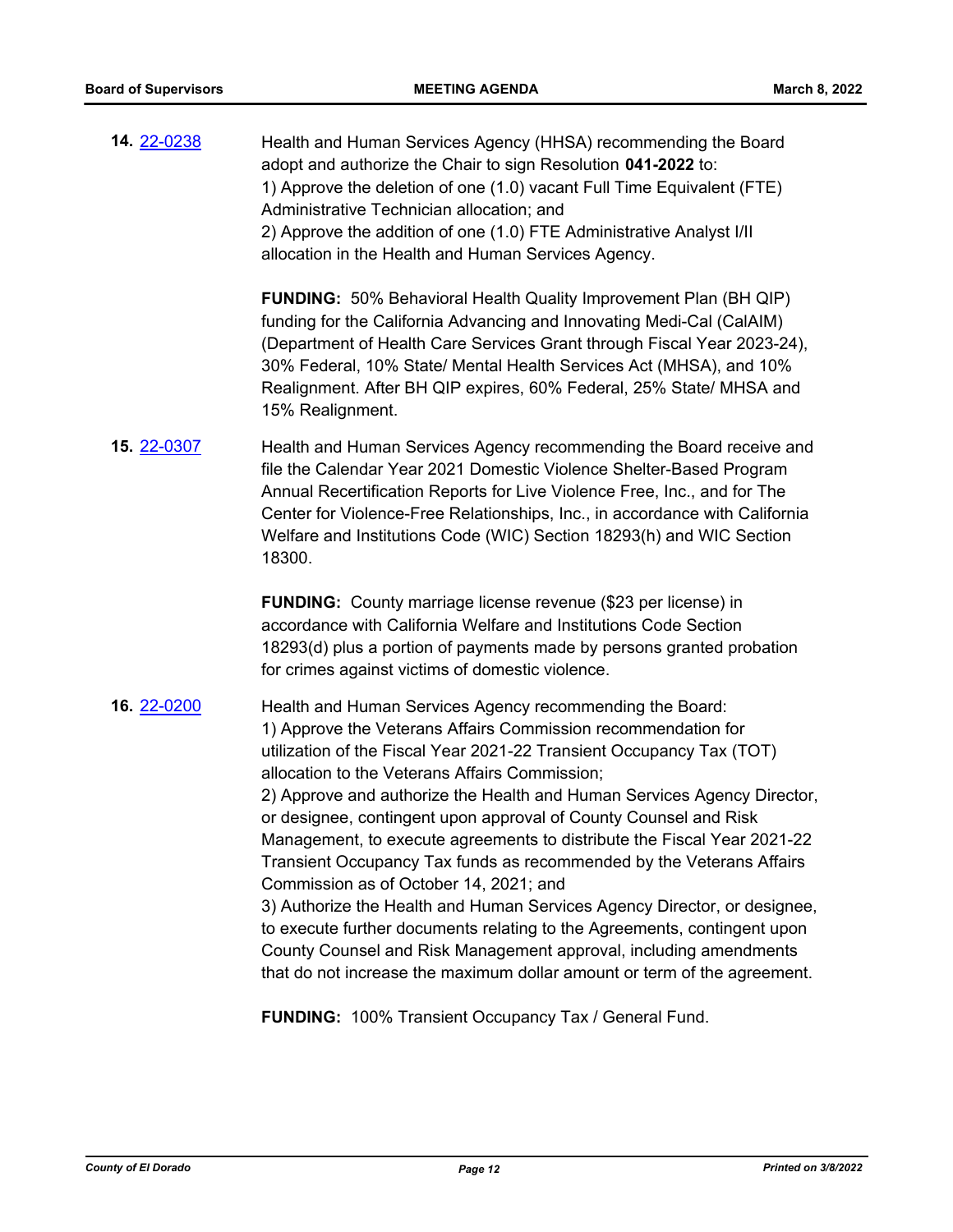**14.** [22-0238](http://eldorado.legistar.com/gateway.aspx?m=l&id=/matter.aspx?key=31139) Health and Human Services Agency (HHSA) recommending the Board adopt and authorize the Chair to sign Resolution **041-2022** to: 1) Approve the deletion of one (1.0) vacant Full Time Equivalent (FTE) Administrative Technician allocation; and 2) Approve the addition of one (1.0) FTE Administrative Analyst I/II allocation in the Health and Human Services Agency.

> **FUNDING:** 50% Behavioral Health Quality Improvement Plan (BH QIP) funding for the California Advancing and Innovating Medi-Cal (CalAIM) (Department of Health Care Services Grant through Fiscal Year 2023-24), 30% Federal, 10% State/ Mental Health Services Act (MHSA), and 10% Realignment. After BH QIP expires, 60% Federal, 25% State/ MHSA and 15% Realignment.

**15.** [22-0307](http://eldorado.legistar.com/gateway.aspx?m=l&id=/matter.aspx?key=31208) Health and Human Services Agency recommending the Board receive and file the Calendar Year 2021 Domestic Violence Shelter-Based Program Annual Recertification Reports for Live Violence Free, Inc., and for The Center for Violence-Free Relationships, Inc., in accordance with California Welfare and Institutions Code (WIC) Section 18293(h) and WIC Section 18300.

> **FUNDING:** County marriage license revenue (\$23 per license) in accordance with California Welfare and Institutions Code Section 18293(d) plus a portion of payments made by persons granted probation for crimes against victims of domestic violence.

## **16.** [22-0200](http://eldorado.legistar.com/gateway.aspx?m=l&id=/matter.aspx?key=31101) Health and Human Services Agency recommending the Board: 1) Approve the Veterans Affairs Commission recommendation for utilization of the Fiscal Year 2021-22 Transient Occupancy Tax (TOT) allocation to the Veterans Affairs Commission;

2) Approve and authorize the Health and Human Services Agency Director, or designee, contingent upon approval of County Counsel and Risk Management, to execute agreements to distribute the Fiscal Year 2021-22 Transient Occupancy Tax funds as recommended by the Veterans Affairs Commission as of October 14, 2021; and

3) Authorize the Health and Human Services Agency Director, or designee, to execute further documents relating to the Agreements, contingent upon County Counsel and Risk Management approval, including amendments that do not increase the maximum dollar amount or term of the agreement.

**FUNDING:** 100% Transient Occupancy Tax / General Fund.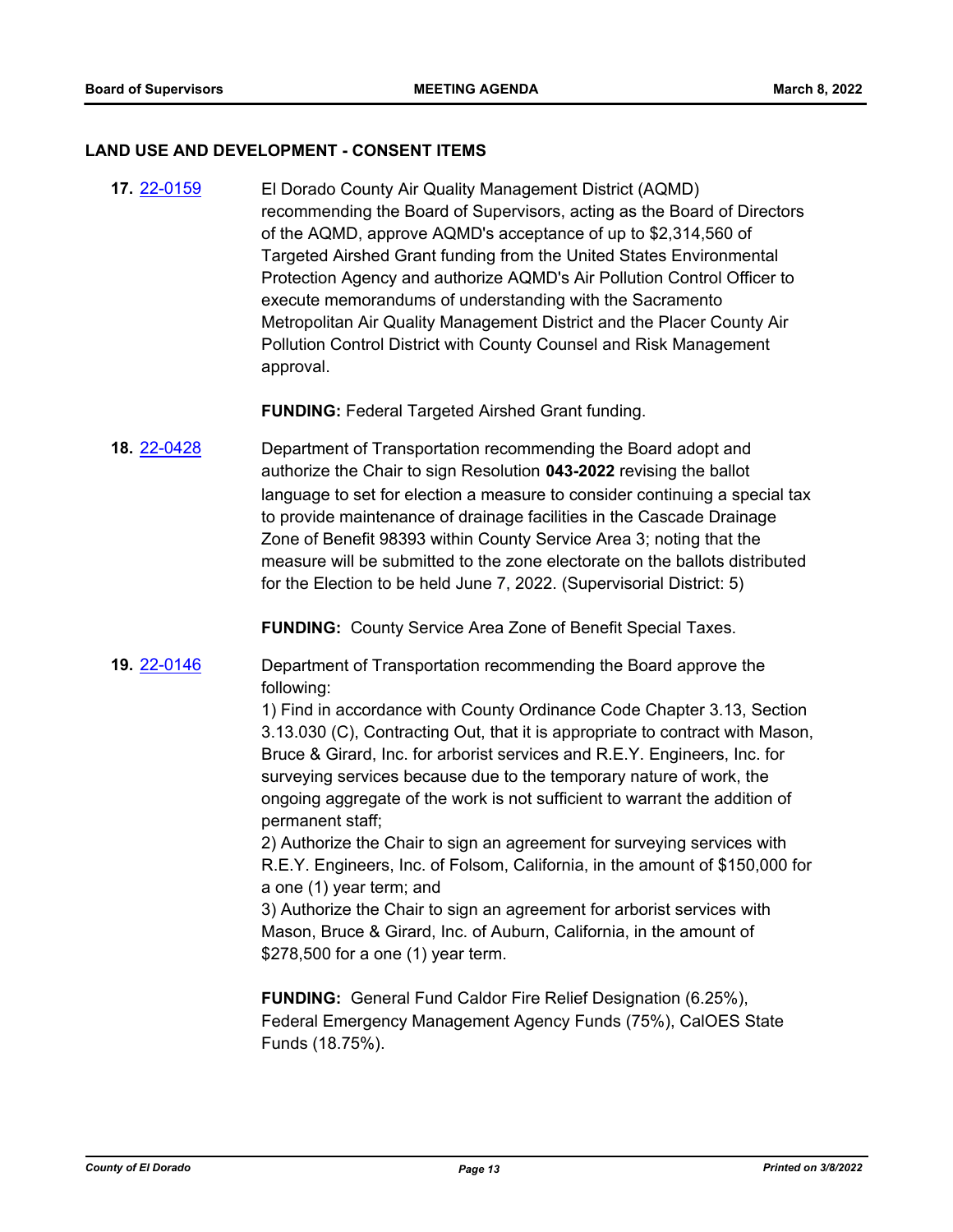#### **LAND USE AND DEVELOPMENT - CONSENT ITEMS**

**17.** [22-0159](http://eldorado.legistar.com/gateway.aspx?m=l&id=/matter.aspx?key=31060) El Dorado County Air Quality Management District (AQMD) recommending the Board of Supervisors, acting as the Board of Directors of the AQMD, approve AQMD's acceptance of up to \$2,314,560 of Targeted Airshed Grant funding from the United States Environmental Protection Agency and authorize AQMD's Air Pollution Control Officer to execute memorandums of understanding with the Sacramento Metropolitan Air Quality Management District and the Placer County Air Pollution Control District with County Counsel and Risk Management approval.

**FUNDING:** Federal Targeted Airshed Grant funding.

**18.** [22-0428](http://eldorado.legistar.com/gateway.aspx?m=l&id=/matter.aspx?key=31329) Department of Transportation recommending the Board adopt and authorize the Chair to sign Resolution **043-2022** revising the ballot language to set for election a measure to consider continuing a special tax to provide maintenance of drainage facilities in the Cascade Drainage Zone of Benefit 98393 within County Service Area 3; noting that the measure will be submitted to the zone electorate on the ballots distributed for the Election to be held June 7, 2022. (Supervisorial District: 5)

**FUNDING:** County Service Area Zone of Benefit Special Taxes.

**19.** [22-0146](http://eldorado.legistar.com/gateway.aspx?m=l&id=/matter.aspx?key=31047) Department of Transportation recommending the Board approve the following:

> 1) Find in accordance with County Ordinance Code Chapter 3.13, Section 3.13.030 (C), Contracting Out, that it is appropriate to contract with Mason, Bruce & Girard, Inc. for arborist services and R.E.Y. Engineers, Inc. for surveying services because due to the temporary nature of work, the ongoing aggregate of the work is not sufficient to warrant the addition of permanent staff;

> 2) Authorize the Chair to sign an agreement for surveying services with R.E.Y. Engineers, Inc. of Folsom, California, in the amount of \$150,000 for a one (1) year term; and

3) Authorize the Chair to sign an agreement for arborist services with Mason, Bruce & Girard, Inc. of Auburn, California, in the amount of \$278,500 for a one (1) year term.

**FUNDING:** General Fund Caldor Fire Relief Designation (6.25%), Federal Emergency Management Agency Funds (75%), CalOES State Funds (18.75%).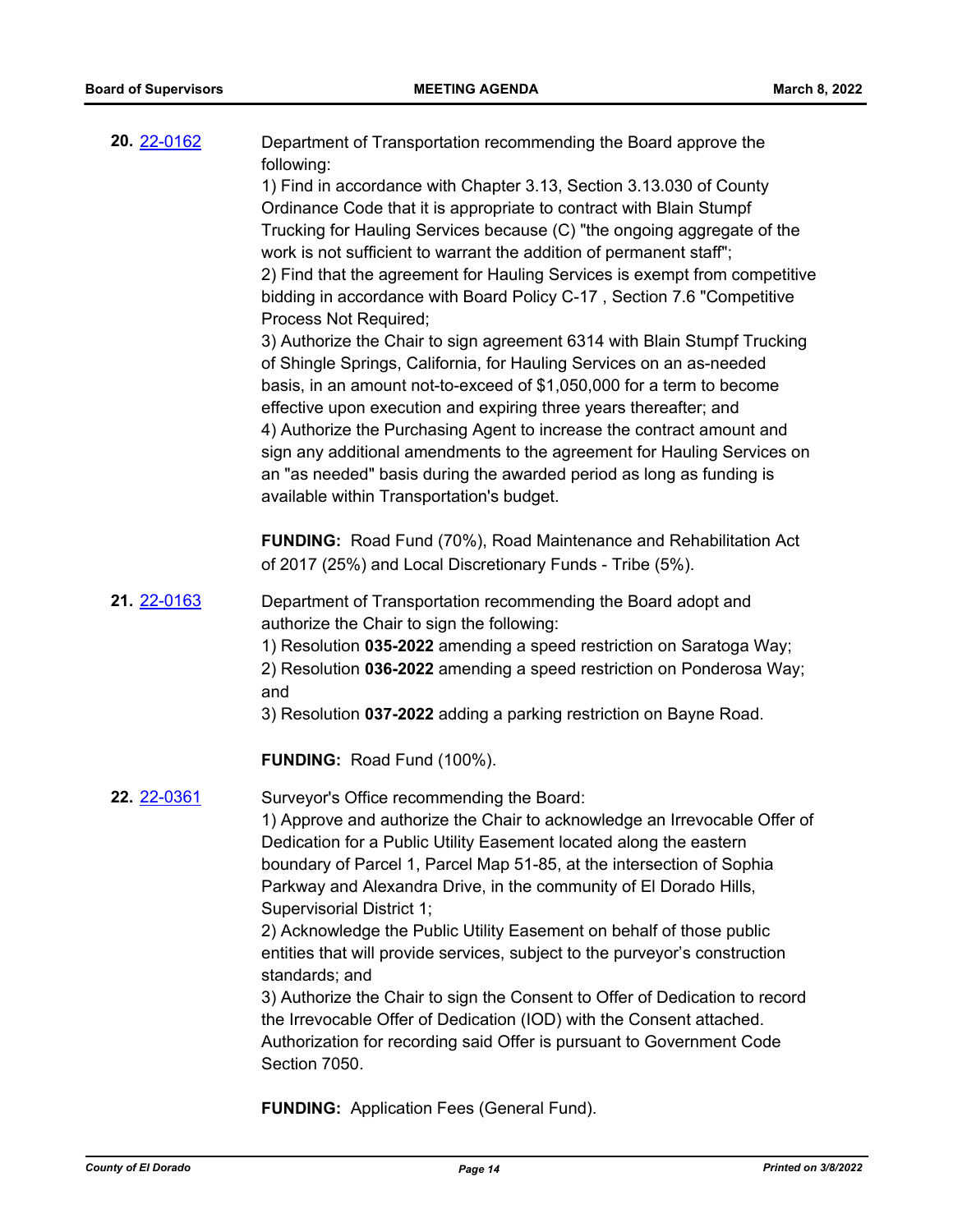| 20. 22-0162 | Department of Transportation recommending the Board approve the<br>following:<br>1) Find in accordance with Chapter 3.13, Section 3.13.030 of County<br>Ordinance Code that it is appropriate to contract with Blain Stumpf<br>Trucking for Hauling Services because (C) "the ongoing aggregate of the<br>work is not sufficient to warrant the addition of permanent staff";<br>2) Find that the agreement for Hauling Services is exempt from competitive<br>bidding in accordance with Board Policy C-17, Section 7.6 "Competitive<br>Process Not Required;<br>3) Authorize the Chair to sign agreement 6314 with Blain Stumpf Trucking<br>of Shingle Springs, California, for Hauling Services on an as-needed<br>basis, in an amount not-to-exceed of \$1,050,000 for a term to become<br>effective upon execution and expiring three years thereafter; and<br>4) Authorize the Purchasing Agent to increase the contract amount and<br>sign any additional amendments to the agreement for Hauling Services on<br>an "as needed" basis during the awarded period as long as funding is<br>available within Transportation's budget. |
|-------------|-------------------------------------------------------------------------------------------------------------------------------------------------------------------------------------------------------------------------------------------------------------------------------------------------------------------------------------------------------------------------------------------------------------------------------------------------------------------------------------------------------------------------------------------------------------------------------------------------------------------------------------------------------------------------------------------------------------------------------------------------------------------------------------------------------------------------------------------------------------------------------------------------------------------------------------------------------------------------------------------------------------------------------------------------------------------------------------------------------------------------------------------|
|             | <b>FUNDING:</b> Road Fund (70%), Road Maintenance and Rehabilitation Act<br>of 2017 (25%) and Local Discretionary Funds - Tribe (5%).                                                                                                                                                                                                                                                                                                                                                                                                                                                                                                                                                                                                                                                                                                                                                                                                                                                                                                                                                                                                     |
| 21. 22-0163 | Department of Transportation recommending the Board adopt and<br>authorize the Chair to sign the following:<br>1) Resolution 035-2022 amending a speed restriction on Saratoga Way;<br>2) Resolution 036-2022 amending a speed restriction on Ponderosa Way;<br>and<br>3) Resolution 037-2022 adding a parking restriction on Bayne Road.                                                                                                                                                                                                                                                                                                                                                                                                                                                                                                                                                                                                                                                                                                                                                                                                 |
|             | <b>FUNDING: Road Fund (100%).</b>                                                                                                                                                                                                                                                                                                                                                                                                                                                                                                                                                                                                                                                                                                                                                                                                                                                                                                                                                                                                                                                                                                         |
| 22. 22-0361 | Surveyor's Office recommending the Board:<br>1) Approve and authorize the Chair to acknowledge an Irrevocable Offer of<br>Dedication for a Public Utility Easement located along the eastern<br>boundary of Parcel 1, Parcel Map 51-85, at the intersection of Sophia<br>Parkway and Alexandra Drive, in the community of El Dorado Hills,<br>Supervisorial District 1;<br>2) Acknowledge the Public Utility Easement on behalf of those public<br>entities that will provide services, subject to the purveyor's construction<br>standards; and<br>3) Authorize the Chair to sign the Consent to Offer of Dedication to record<br>the Irrevocable Offer of Dedication (IOD) with the Consent attached.<br>Authorization for recording said Offer is pursuant to Government Code<br>Section 7050.                                                                                                                                                                                                                                                                                                                                         |

**FUNDING:** Application Fees (General Fund).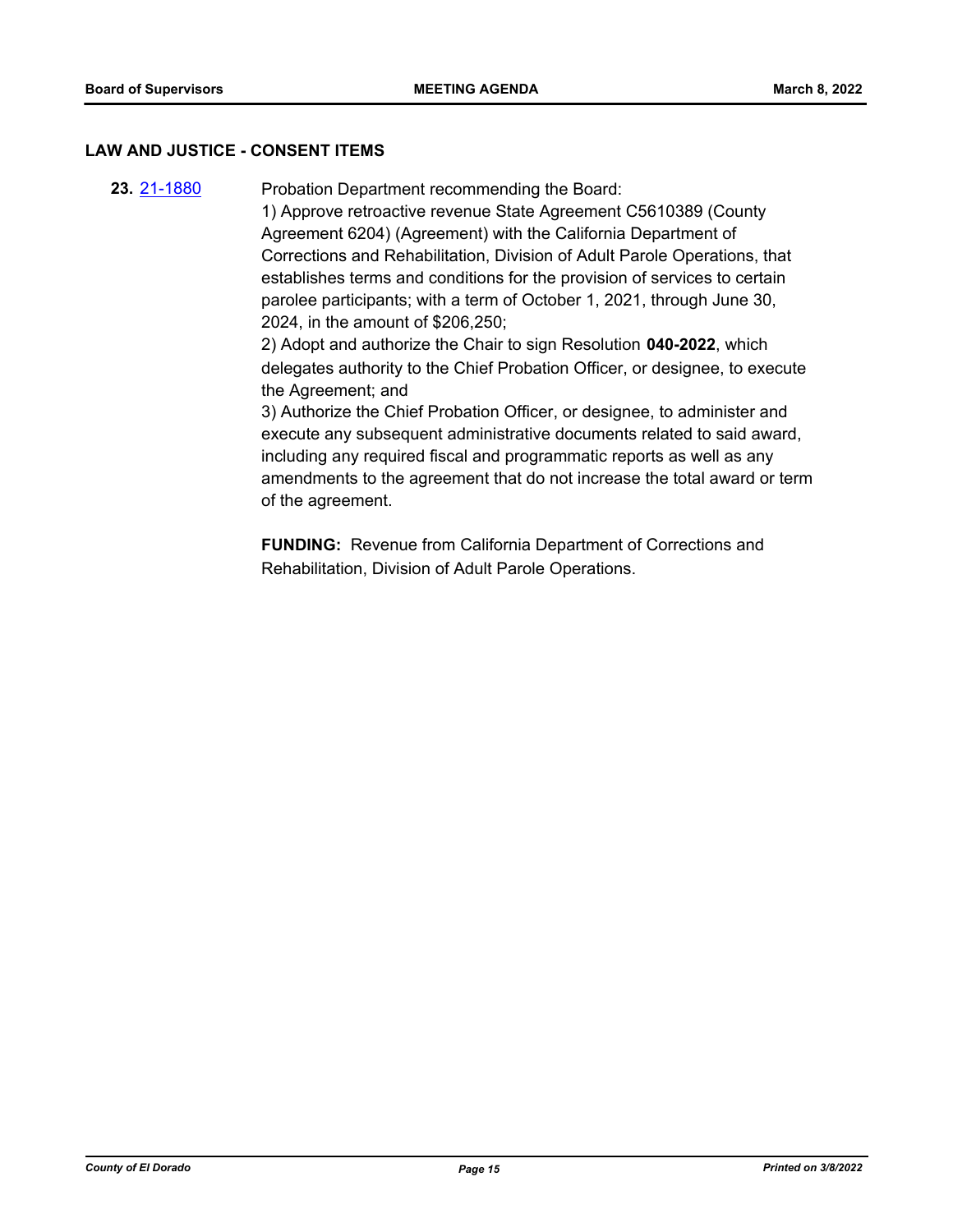## **LAW AND JUSTICE - CONSENT ITEMS**

**23.** [21-1880](http://eldorado.legistar.com/gateway.aspx?m=l&id=/matter.aspx?key=30776) Probation Department recommending the Board: 1) Approve retroactive revenue State Agreement C5610389 (County Agreement 6204) (Agreement) with the California Department of Corrections and Rehabilitation, Division of Adult Parole Operations, that establishes terms and conditions for the provision of services to certain parolee participants; with a term of October 1, 2021, through June 30, 2024, in the amount of \$206,250; 2) Adopt and authorize the Chair to sign Resolution **040-2022**, which delegates authority to the Chief Probation Officer, or designee, to execute the Agreement; and 3) Authorize the Chief Probation Officer, or designee, to administer and execute any subsequent administrative documents related to said award, including any required fiscal and programmatic reports as well as any amendments to the agreement that do not increase the total award or term of the agreement.

> **FUNDING:** Revenue from California Department of Corrections and Rehabilitation, Division of Adult Parole Operations.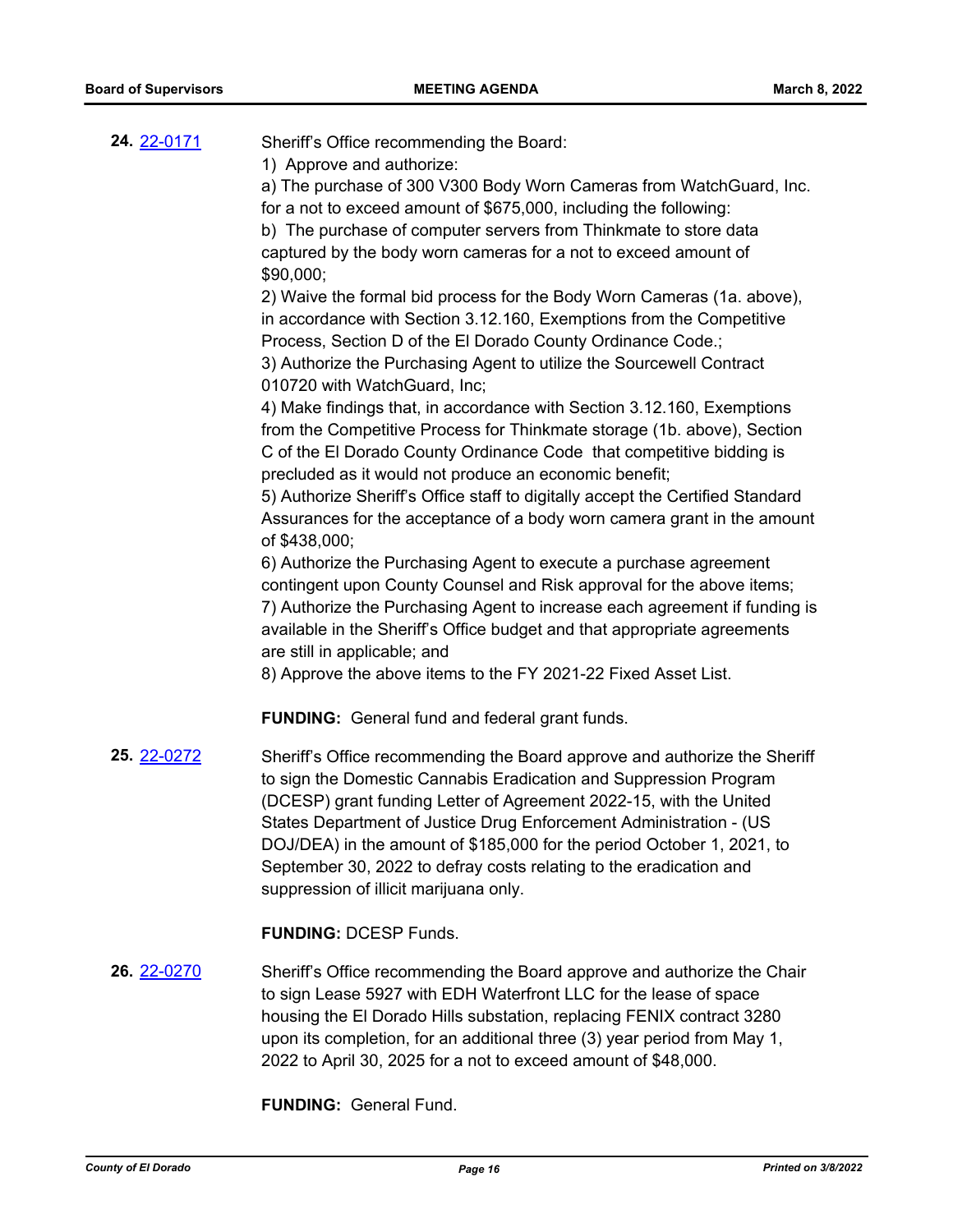| <b>24.</b> 22-0171 | Sheriff's Office recommending the Board:<br>1) Approve and authorize:<br>a) The purchase of 300 V300 Body Worn Cameras from WatchGuard, Inc.<br>for a not to exceed amount of \$675,000, including the following:<br>b) The purchase of computer servers from Thinkmate to store data<br>captured by the body worn cameras for a not to exceed amount of<br>\$90,000;<br>2) Waive the formal bid process for the Body Worn Cameras (1a. above),<br>in accordance with Section 3.12.160, Exemptions from the Competitive<br>Process, Section D of the El Dorado County Ordinance Code.;<br>3) Authorize the Purchasing Agent to utilize the Sourcewell Contract<br>010720 with WatchGuard, Inc;<br>4) Make findings that, in accordance with Section 3.12.160, Exemptions<br>from the Competitive Process for Thinkmate storage (1b. above), Section<br>C of the El Dorado County Ordinance Code that competitive bidding is<br>precluded as it would not produce an economic benefit;<br>5) Authorize Sheriff's Office staff to digitally accept the Certified Standard<br>Assurances for the acceptance of a body worn camera grant in the amount<br>of \$438,000;<br>6) Authorize the Purchasing Agent to execute a purchase agreement<br>contingent upon County Counsel and Risk approval for the above items;<br>7) Authorize the Purchasing Agent to increase each agreement if funding is<br>available in the Sheriff's Office budget and that appropriate agreements<br>are still in applicable; and<br>8) Approve the above items to the FY 2021-22 Fixed Asset List. |
|--------------------|-------------------------------------------------------------------------------------------------------------------------------------------------------------------------------------------------------------------------------------------------------------------------------------------------------------------------------------------------------------------------------------------------------------------------------------------------------------------------------------------------------------------------------------------------------------------------------------------------------------------------------------------------------------------------------------------------------------------------------------------------------------------------------------------------------------------------------------------------------------------------------------------------------------------------------------------------------------------------------------------------------------------------------------------------------------------------------------------------------------------------------------------------------------------------------------------------------------------------------------------------------------------------------------------------------------------------------------------------------------------------------------------------------------------------------------------------------------------------------------------------------------------------------------------------------------------------------|
|                    | <b>FUNDING:</b> General fund and federal grant funds.                                                                                                                                                                                                                                                                                                                                                                                                                                                                                                                                                                                                                                                                                                                                                                                                                                                                                                                                                                                                                                                                                                                                                                                                                                                                                                                                                                                                                                                                                                                         |
| 25. 22-0272        | Sheriff's Office recommending the Board approve and authorize the Sheriff<br>to sign the Domestic Cannabis Eradication and Suppression Program<br>(DCESP) grant funding Letter of Agreement 2022-15, with the United<br>States Department of Justice Drug Enforcement Administration - (US<br>DOJ/DEA) in the amount of \$185,000 for the period October 1, 2021, to<br>September 30, 2022 to defray costs relating to the eradication and<br>suppression of illicit marijuana only.<br><b>FUNDING: DCESP Funds.</b>                                                                                                                                                                                                                                                                                                                                                                                                                                                                                                                                                                                                                                                                                                                                                                                                                                                                                                                                                                                                                                                          |
|                    |                                                                                                                                                                                                                                                                                                                                                                                                                                                                                                                                                                                                                                                                                                                                                                                                                                                                                                                                                                                                                                                                                                                                                                                                                                                                                                                                                                                                                                                                                                                                                                               |
| 26. 22-0270        | Sheriff's Office recommending the Board approve and authorize the Chair<br>to sign Lease 5927 with EDH Waterfront LLC for the lease of space<br>bouging the ELDerade Hille oubetation, replacing EENIIV contract 2200                                                                                                                                                                                                                                                                                                                                                                                                                                                                                                                                                                                                                                                                                                                                                                                                                                                                                                                                                                                                                                                                                                                                                                                                                                                                                                                                                         |

housing the El Dorado Hills substation, replacing FENIX contract 3280 upon its completion, for an additional three (3) year period from May 1, 2022 to April 30, 2025 for a not to exceed amount of \$48,000.

**FUNDING:** General Fund.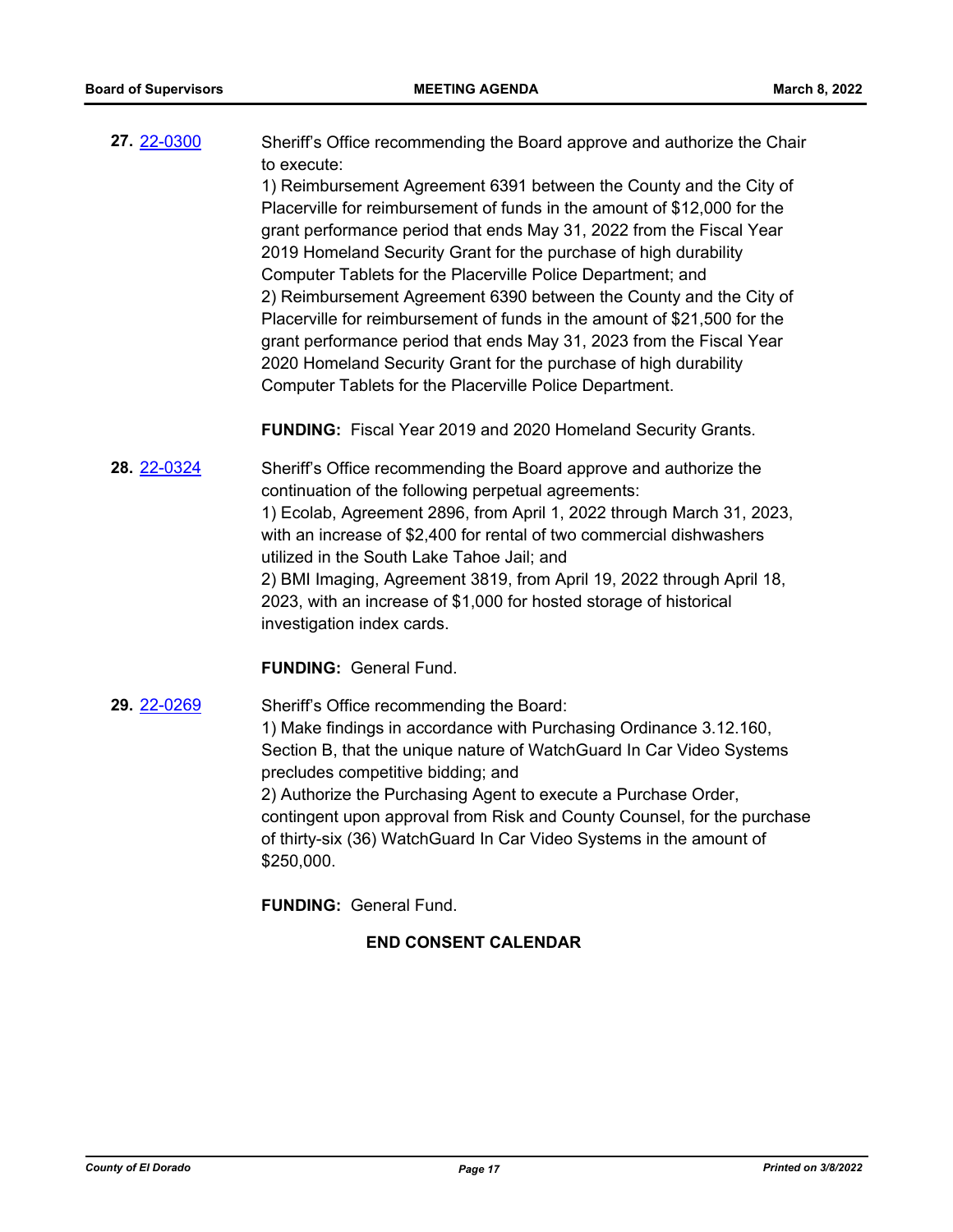**27.** [22-0300](http://eldorado.legistar.com/gateway.aspx?m=l&id=/matter.aspx?key=31201) Sheriff's Office recommending the Board approve and authorize the Chair to execute: 1) Reimbursement Agreement 6391 between the County and the City of

Placerville for reimbursement of funds in the amount of \$12,000 for the grant performance period that ends May 31, 2022 from the Fiscal Year 2019 Homeland Security Grant for the purchase of high durability Computer Tablets for the Placerville Police Department; and 2) Reimbursement Agreement 6390 between the County and the City of Placerville for reimbursement of funds in the amount of \$21,500 for the grant performance period that ends May 31, 2023 from the Fiscal Year 2020 Homeland Security Grant for the purchase of high durability Computer Tablets for the Placerville Police Department.

**FUNDING:** Fiscal Year 2019 and 2020 Homeland Security Grants.

**28.** [22-0324](http://eldorado.legistar.com/gateway.aspx?m=l&id=/matter.aspx?key=31225) Sheriff's Office recommending the Board approve and authorize the continuation of the following perpetual agreements: 1) Ecolab, Agreement 2896, from April 1, 2022 through March 31, 2023, with an increase of \$2,400 for rental of two commercial dishwashers utilized in the South Lake Tahoe Jail; and 2) BMI Imaging, Agreement 3819, from April 19, 2022 through April 18, 2023, with an increase of \$1,000 for hosted storage of historical investigation index cards.

## **FUNDING:** General Fund.

**29.** [22-0269](http://eldorado.legistar.com/gateway.aspx?m=l&id=/matter.aspx?key=31170) Sheriff's Office recommending the Board: 1) Make findings in accordance with Purchasing Ordinance 3.12.160, Section B, that the unique nature of WatchGuard In Car Video Systems precludes competitive bidding; and 2) Authorize the Purchasing Agent to execute a Purchase Order, contingent upon approval from Risk and County Counsel, for the purchase of thirty-six (36) WatchGuard In Car Video Systems in the amount of \$250,000.

**FUNDING:** General Fund.

## **END CONSENT CALENDAR**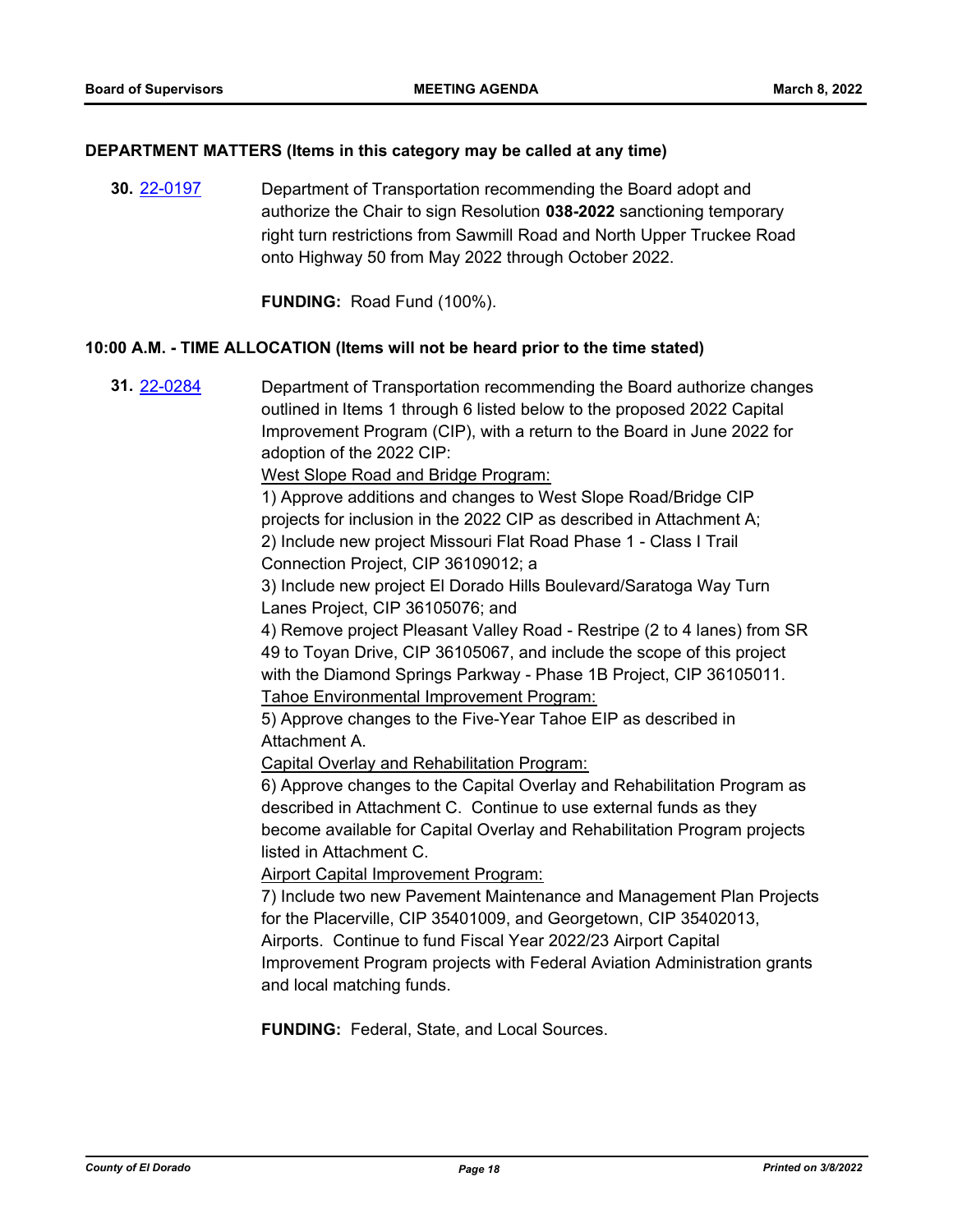## **DEPARTMENT MATTERS (Items in this category may be called at any time)**

**30.** [22-0197](http://eldorado.legistar.com/gateway.aspx?m=l&id=/matter.aspx?key=31098) Department of Transportation recommending the Board adopt and authorize the Chair to sign Resolution **038-2022** sanctioning temporary right turn restrictions from Sawmill Road and North Upper Truckee Road onto Highway 50 from May 2022 through October 2022.

**FUNDING:** Road Fund (100%).

## **10:00 A.M. - TIME ALLOCATION (Items will not be heard prior to the time stated)**

**31.** [22-0284](http://eldorado.legistar.com/gateway.aspx?m=l&id=/matter.aspx?key=31185) Department of Transportation recommending the Board authorize changes outlined in Items 1 through 6 listed below to the proposed 2022 Capital Improvement Program (CIP), with a return to the Board in June 2022 for adoption of the 2022 CIP:

West Slope Road and Bridge Program:

1) Approve additions and changes to West Slope Road/Bridge CIP projects for inclusion in the 2022 CIP as described in Attachment A; 2) Include new project Missouri Flat Road Phase 1 - Class I Trail Connection Project, CIP 36109012; a

3) Include new project El Dorado Hills Boulevard/Saratoga Way Turn Lanes Project, CIP 36105076; and

4) Remove project Pleasant Valley Road - Restripe (2 to 4 lanes) from SR 49 to Toyan Drive, CIP 36105067, and include the scope of this project with the Diamond Springs Parkway - Phase 1B Project, CIP 36105011. Tahoe Environmental Improvement Program:

5) Approve changes to the Five-Year Tahoe EIP as described in Attachment A.

Capital Overlay and Rehabilitation Program:

6) Approve changes to the Capital Overlay and Rehabilitation Program as described in Attachment C. Continue to use external funds as they become available for Capital Overlay and Rehabilitation Program projects listed in Attachment C.

Airport Capital Improvement Program:

7) Include two new Pavement Maintenance and Management Plan Projects for the Placerville, CIP 35401009, and Georgetown, CIP 35402013, Airports. Continue to fund Fiscal Year 2022/23 Airport Capital Improvement Program projects with Federal Aviation Administration grants and local matching funds.

**FUNDING:** Federal, State, and Local Sources.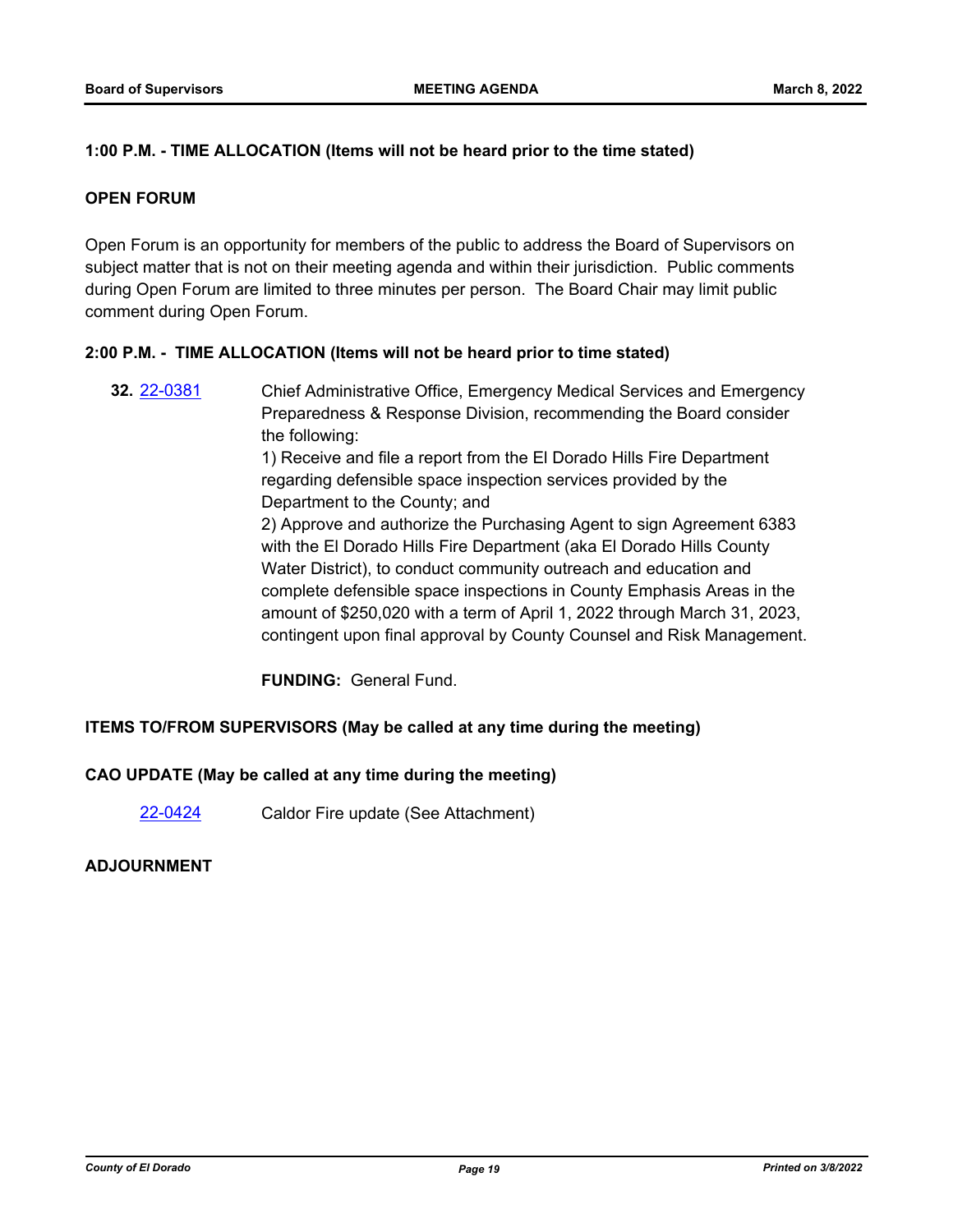## **1:00 P.M. - TIME ALLOCATION (Items will not be heard prior to the time stated)**

## **OPEN FORUM**

Open Forum is an opportunity for members of the public to address the Board of Supervisors on subject matter that is not on their meeting agenda and within their jurisdiction. Public comments during Open Forum are limited to three minutes per person. The Board Chair may limit public comment during Open Forum.

## **2:00 P.M. - TIME ALLOCATION (Items will not be heard prior to time stated)**

**32.** [22-0381](http://eldorado.legistar.com/gateway.aspx?m=l&id=/matter.aspx?key=31282) Chief Administrative Office, Emergency Medical Services and Emergency Preparedness & Response Division, recommending the Board consider the following: 1) Receive and file a report from the El Dorado Hills Fire Department regarding defensible space inspection services provided by the Department to the County; and 2) Approve and authorize the Purchasing Agent to sign Agreement 6383 with the El Dorado Hills Fire Department (aka El Dorado Hills County Water District), to conduct community outreach and education and complete defensible space inspections in County Emphasis Areas in the amount of \$250,020 with a term of April 1, 2022 through March 31, 2023, contingent upon final approval by County Counsel and Risk Management.

**FUNDING:** General Fund.

## **ITEMS TO/FROM SUPERVISORS (May be called at any time during the meeting)**

## **CAO UPDATE (May be called at any time during the meeting)**

[22-0424](http://eldorado.legistar.com/gateway.aspx?m=l&id=/matter.aspx?key=31325) Caldor Fire update (See Attachment)

## **ADJOURNMENT**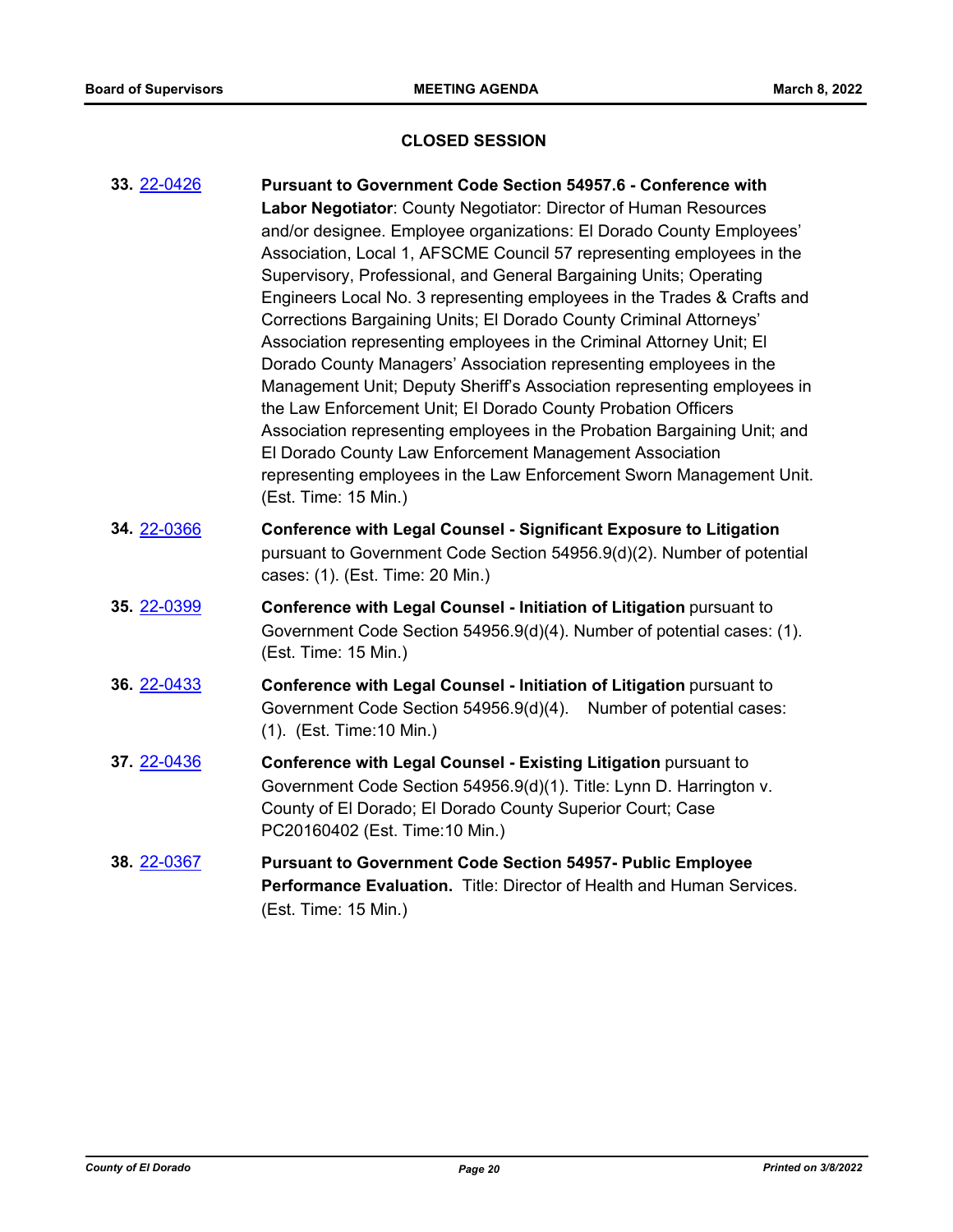## **CLOSED SESSION**

| 33. 22-0426 | Pursuant to Government Code Section 54957.6 - Conference with<br>Labor Negotiator: County Negotiator: Director of Human Resources<br>and/or designee. Employee organizations: El Dorado County Employees'<br>Association, Local 1, AFSCME Council 57 representing employees in the<br>Supervisory, Professional, and General Bargaining Units; Operating<br>Engineers Local No. 3 representing employees in the Trades & Crafts and<br>Corrections Bargaining Units; El Dorado County Criminal Attorneys'<br>Association representing employees in the Criminal Attorney Unit; El<br>Dorado County Managers' Association representing employees in the<br>Management Unit; Deputy Sheriff's Association representing employees in<br>the Law Enforcement Unit; El Dorado County Probation Officers<br>Association representing employees in the Probation Bargaining Unit; and<br>El Dorado County Law Enforcement Management Association<br>representing employees in the Law Enforcement Sworn Management Unit.<br>(Est. Time: 15 Min.) |
|-------------|-------------------------------------------------------------------------------------------------------------------------------------------------------------------------------------------------------------------------------------------------------------------------------------------------------------------------------------------------------------------------------------------------------------------------------------------------------------------------------------------------------------------------------------------------------------------------------------------------------------------------------------------------------------------------------------------------------------------------------------------------------------------------------------------------------------------------------------------------------------------------------------------------------------------------------------------------------------------------------------------------------------------------------------------|
| 34. 22-0366 | <b>Conference with Legal Counsel - Significant Exposure to Litigation</b><br>pursuant to Government Code Section 54956.9(d)(2). Number of potential<br>cases: (1). (Est. Time: 20 Min.)                                                                                                                                                                                                                                                                                                                                                                                                                                                                                                                                                                                                                                                                                                                                                                                                                                                   |
| 35. 22-0399 | Conference with Legal Counsel - Initiation of Litigation pursuant to<br>Government Code Section 54956.9(d)(4). Number of potential cases: (1).<br>(Est. Time: 15 Min.)                                                                                                                                                                                                                                                                                                                                                                                                                                                                                                                                                                                                                                                                                                                                                                                                                                                                    |
| 36. 22-0433 | Conference with Legal Counsel - Initiation of Litigation pursuant to<br>Government Code Section 54956.9(d)(4). Number of potential cases:<br>(1). (Est. Time: 10 Min.)                                                                                                                                                                                                                                                                                                                                                                                                                                                                                                                                                                                                                                                                                                                                                                                                                                                                    |
| 37. 22-0436 | Conference with Legal Counsel - Existing Litigation pursuant to<br>Government Code Section 54956.9(d)(1). Title: Lynn D. Harrington v.<br>County of El Dorado; El Dorado County Superior Court; Case<br>PC20160402 (Est. Time: 10 Min.)                                                                                                                                                                                                                                                                                                                                                                                                                                                                                                                                                                                                                                                                                                                                                                                                   |
| 38. 22-0367 | <b>Pursuant to Government Code Section 54957- Public Employee</b><br>Performance Evaluation. Title: Director of Health and Human Services.<br>(Est. Time: 15 Min.)                                                                                                                                                                                                                                                                                                                                                                                                                                                                                                                                                                                                                                                                                                                                                                                                                                                                        |